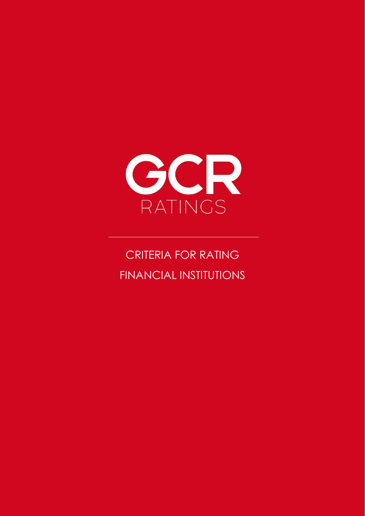

CRITERIA FOR RATING FINANCIAL INSTITUTIONS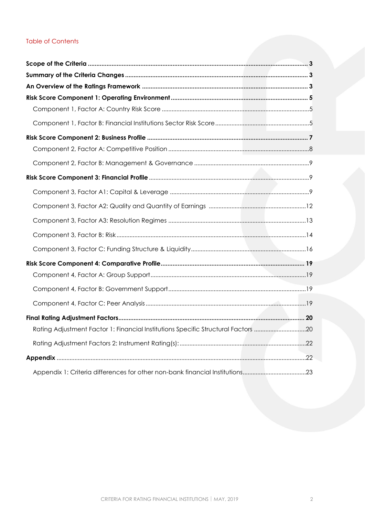## Table of Contents

| Rating Adjustment Factor 1: Financial Institutions Specific Structural Factors 20 |  |
|-----------------------------------------------------------------------------------|--|
|                                                                                   |  |
|                                                                                   |  |
| Appendix 1: Criteria differences for other non-bank financial Institutions23      |  |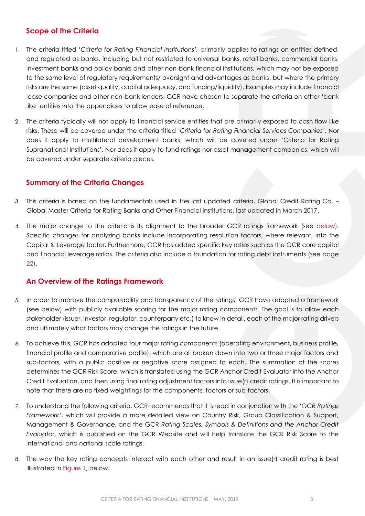## <span id="page-2-0"></span>**Scope of the Criteria**

- 1. The criteria titled '*Criteria for Rating Financial Institutions',* primarily applies to ratings on entities defined, and regulated as banks, including but not restricted to universal banks, retail banks, commercial banks, investment banks and policy banks and other non-bank financial institutions, which may not be exposed to the same level of regulatory requirements/ oversight and advantages as banks, but where the primary risks are the same (asset quality, capital adequacy, and funding/liquidity). Examples may include financial lease companies and other non-bank lenders. GCR have chosen to separate the criteria on other 'bank like' entities into the appendices to allow ease of reference.
- 2. The criteria typically will not apply to financial service entities that are primarily exposed to cash flow like risks. These will be covered under the criteria titled '*Criteria for Rating Financial Services Companies'*. Nor does it apply to multilateral development banks, which will be covered under 'Criteria for Rating Supranational Institutions'. Nor does it apply to fund ratings nor asset management companies, which will be covered under separate criteria pieces.

## <span id="page-2-1"></span>**Summary of the Criteria Changes**

- 3. This criteria is based on the fundamentals used in the last updated criteria, Global Credit Rating Co. Global Master Criteria for Rating Banks and Other Financial Institutions, last updated in March 2017.
- 4. The major change to the criteria is its alignment to the broader GCR ratings framework (see [below\)](#page-3-1). Specific changes for analyzing banks include incorporating resolution factors, where relevant, into the Capital & Leverage factor. Furthermore, GCR has added specific key ratios such as the GCR core capital and financial leverage ratios. The criteria also include a foundation for rating debt instruments (see page [22\)](#page-20-0).

## <span id="page-2-2"></span>**An Overview of the Ratings Framework**

- 5. In order to improve the comparability and transparency of the ratings, GCR have adopted a framework (see below) with publicly available scoring for the major rating components. The goal is to allow each stakeholder (issuer, investor, regulator, counterparty etc.) to know in detail, each of the major rating drivers and ultimately what factors may change the ratings in the future.
- 6. To achieve this, GCR has adopted four major rating components (operating environment, business profile, financial profile and comparative profile), which are all broken down into two or three major factors and sub-factors, with a public positive or negative score assigned to each. The summation of the scores determines the GCR Risk Score, which is translated using the GCR Anchor Credit Evaluator into the Anchor Credit Evaluation, and then using final rating adjustment factors into issue(r) credit ratings. It is important to note that there are no fixed weightings for the components, factors or sub-factors.
- 7. To understand the following criteria, GCR recommends that it is read in conjunction with the '*GCR Ratings Framework'*, which will provide a more detailed view on Country Risk, Group Classification & Support, Management & Governance, and the GCR *Rating Scales, Symbols & Definitions and the Anchor Credit Evaluator*, which is published on the GCR Website and will help translate the GCR Risk Score to the international and national scale ratings.
- 8. The way the key rating concepts interact with each other and result in an issue(r) credit rating is best illustrated in [Figure 1,](#page-3-1) below.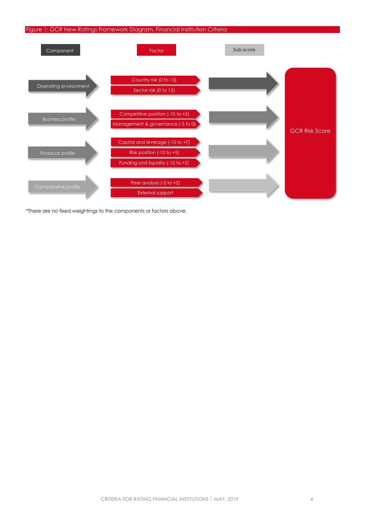#### <span id="page-3-1"></span>Figure 1: GCR New Ratings Framework Diagram, Financial Institution Criteria



<span id="page-3-0"></span>\*There are no fixed weightings to the components or factors above.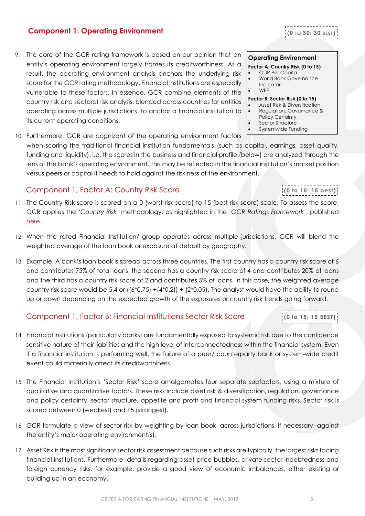#### CRITERIA FOR RATING FINANCIAL INSTITUTIONS | MAY, 2019 5

#### **Component 1: Operating Environment**

- 9. The core of the GCR rating framework is based on our opinion that an entity's operating environment largely frames its creditworthiness. As a result, the operating environment analysis anchors the underlying risk score for the GCR rating methodology. Financial institutions are especially vulnerable to these factors. In essence, GCR combine elements of the country risk and sectoral risk analysis, blended across countries for entities operating across multiple jurisdictions, to anchor a financial institution to its current operating conditions.
- 10. Furthermore, GCR are cognizant of the operating environment factors

when scoring the traditional financial institution fundamentals (such as capital, earnings, asset quality, funding and liquidity), i.e. the scores in the business and financial profile (below) are analyzed through the lens of the bank's operating environment. This may be reflected in the financial institution's market position versus peers or capital it needs to hold against the riskiness of the environment.

## <span id="page-4-0"></span>Component 1, Factor A: Country Risk Score

- 11. The Country Risk score is scored on a 0 (worst risk score) to 15 (best risk score) scale. To assess the score, GCR applies the *'Country Risk'* methodology, as highlighted in the '*GCR Ratings Framework'*, published [here.](http://gcrratings.com/criteria)
- 12. When the rated Financial Institution/ group operates across multiple jurisdictions, GCR will blend the weighted average of the loan book or exposure at default by geography.
- 13. Example: A bank's loan book is spread across three countries. The first country has a country risk score of 6 and contributes 75% of total loans, the second has a country risk score of 4 and contributes 20% of loans and the third has a country risk score of 2 and contributes 5% of loans. In this case, the weighted average country risk score would be 5.4 or  $((6*0.75) + (4*0.2)) + (2*0.05)$ . The analyst would have the ability to round up or down depending on the expected growth of the exposures or country risk trends going forward.

## <span id="page-4-1"></span>Component 1, Factor B: Financial Institutions Sector Risk Score

- 14. Financial institutions (particularly banks) are fundamentally exposed to systemic risk due to the confidence sensitive nature of their liabilities and the high level of interconnectedness within the financial system. Even if a financial institution is performing well, the failure of a peer/ counterparty bank or system-wide credit event could materially affect its creditworthiness.
- 15. The Financial Institution's 'Sector Risk' score amalgamates four separate subfactors, using a mixture of qualitative and quantitative factors. These risks include asset risk & diversification, regulation, governance and policy certainty, sector structure, appetite and profit and financial system funding risks. Sector risk is scored between 0 (weakest) and 15 (strongest).
- 16. GCR formulate a view of sector risk by weighting by loan book, across jurisdictions, if necessary, against the entity's major operating environment(s).
- 17. Asset Risk is the most significant sector risk assessment because such risks are typically, the largest risks facing financial institutions. Furthermore, details regarding asset price bubbles, private sector indebtedness and foreign currency risks, for example, provide a good view of economic imbalances, either existing or building up in an economy.

#### **Operating Environment**

#### **Factor A: Country Risk (0 to 15)**

- GDP Per Capita • World Bank Governance **Indicators**
- WEF

#### **Factor B: Sector Risk (0 to 15)**

- Asset Risk & Diversification
- Regulation, Governance &
- Policy Certainty Sector Structure
- Systemwide Funding

**(0 to 15: 15 BEST)**

**(0 to 15: 15 best)**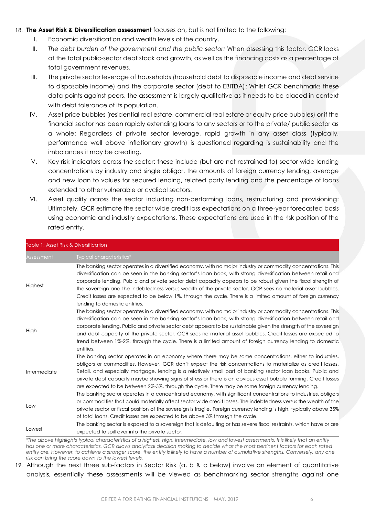#### 18. **The Asset Risk & Diversification assessment** focuses on, but is not limited to the following:

- I. Economic diversification and wealth levels of the country.
- II. *The debt burden of the government and the public sector:* When assessing this factor, GCR looks at the total public-sector debt stock and growth, as well as the financing costs as a percentage of total government revenues.
- III. The private sector leverage of households (household debt to disposable income and debt service to disposable income) and the corporate sector (debt to EBITDA): Whilst GCR benchmarks these data points against peers, the assessment is largely qualitative as it needs to be placed in context with debt tolerance of its population.
- IV. Asset price bubbles (residential real estate, commercial real estate or equity price bubbles) or if the financial sector has been rapidly extending loans to any sectors or to the private/ public sector as a whole: Regardless of private sector leverage, rapid growth in any asset class (typically, performance well above inflationary growth) is questioned regarding is sustainability and the imbalances it may be creating.
- V. Key risk indicators across the sector: these include (but are not restrained to) sector wide lending concentrations by industry and single obligor, the amounts of foreign currency lending, average and new loan to values for secured lending, related party lending and the percentage of loans extended to other vulnerable or cyclical sectors.
- VI. Asset quality across the sector including non-performing loans, restructuring and provisioning: Ultimately, GCR estimate the sector wide credit loss expectations on a three-year forecasted basis using economic and industry expectations. These expectations are used in the risk position of the rated entity.

|              | Table 1: Asset Risk & Diversification                                                                                                                                                                                                                                                                                                                                                                                                                                                                                                                                                                          |
|--------------|----------------------------------------------------------------------------------------------------------------------------------------------------------------------------------------------------------------------------------------------------------------------------------------------------------------------------------------------------------------------------------------------------------------------------------------------------------------------------------------------------------------------------------------------------------------------------------------------------------------|
| Assessment   | Typical characteristics*                                                                                                                                                                                                                                                                                                                                                                                                                                                                                                                                                                                       |
| Highest      | The banking sector operates in a diversified economy, with no major industry or commodity concentrations. This<br>diversification can be seen in the banking sector's loan book, with strong diversification between retail and<br>corporate lending. Public and private sector debt capacity appears to be robust given the fiscal strength of<br>the sovereign and the indebtedness versus wealth of the private sector. GCR sees no material asset bubbles.<br>Credit losses are expected to be below 1%, through the cycle. There is a limited amount of foreign currency<br>lending to domestic entities. |
| High         | The banking sector operates in a diversified economy, with no major industry or commodity concentrations. This<br>diversification can be seen in the banking sector's loan book, with strong diversification between retail and<br>corporate lending. Public and private sector debt appears to be sustainable given the strength of the sovereign<br>and debt capacity of the private sector. GCR sees no material asset bubbles. Credit losses are expected to<br>trend between 1%-2%, through the cycle. There is a limited amount of foreign currency lending to domestic<br>entities.                     |
| Intermediate | The banking sector operates in an economy where there may be some concentrations, either to industries,<br>obligors or commodities. However, GCR don't expect the risk concentrations to materialize as credit losses.<br>Retail, and especially mortgage, lending is a relatively small part of banking sector loan books. Public and<br>private debt capacity maybe showing signs of stress or there is an obvious asset bubble forming. Credit losses<br>are expected to be between 2%-3%, through the cycle. There may be some foreign currency lending.                                                   |
| Low          | The banking sector operates in a concentrated economy, with significant concentrations to industries, obligors<br>or commodities that could materially affect sector wide credit losses. The indebtedness versus the wealth of the<br>private sector or fiscal position of the sovereign is fragile. Foreign currency lending is high, typically above 35%<br>of total loans. Credit losses are expected to be above 3% through the cycle.                                                                                                                                                                     |
| Lowest       | The banking sector is exposed to a sovereign that is defaulting or has severe fiscal restraints, which have or are<br>expected to spill over into the private sector.                                                                                                                                                                                                                                                                                                                                                                                                                                          |
|              | *The above hiahliahts typical characteristics of a hiahest, hiah, intermediate, low and lowest assessments. It is likely that an entity                                                                                                                                                                                                                                                                                                                                                                                                                                                                        |

*\*The above highlights typical characteristics of a highest, high, intermediate, low and lowest assessments. It is likely that an entity has one or more characteristics. GCR allows analytical decision making to decide what the most pertinent factors for each rated entity are. However, to achieve a stronger score, the entity is likely to have a number of cumulative strengths. Conversely, any one risk can bring the score down to the lowest levels.* 

19. Although the next three sub-factors in Sector Risk (a, b & c below) involve an element of quantitative analysis, essentially these assessments will be viewed as benchmarking sector strengths against one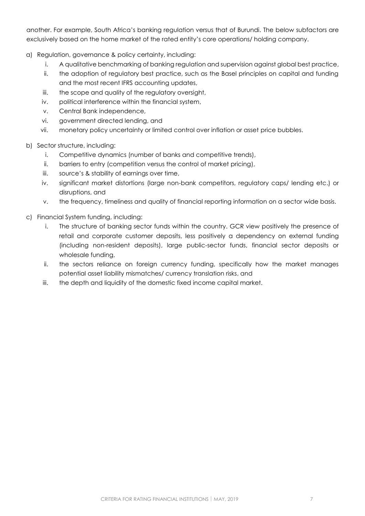another. For example, South Africa's banking regulation versus that of Burundi. The below subfactors are exclusively based on the home market of the rated entity's core operations/ holding company.

- a) Regulation, governance & policy certainty, including:
	- i. A qualitative benchmarking of banking regulation and supervision against global best practice,
	- ii. the adoption of regulatory best practice, such as the Basel principles on capital and funding and the most recent IFRS accounting updates,
	- iii. the scope and quality of the regulatory oversight,
	- iv. political interference within the financial system,
	- v. Central Bank independence,
	- vi. government directed lending, and
	- vii. monetary policy uncertainty or limited control over inflation or asset price bubbles.
- b) Sector structure, including:
	- i. Competitive dynamics (number of banks and competitive trends),
	- ii. barriers to entry (competition versus the control of market pricing),
	- iii. source's & stability of earnings over time,
	- iv. significant market distortions (large non-bank competitors, regulatory caps/ lending etc.) or disruptions, and
	- v. the frequency, timeliness and quality of financial reporting information on a sector wide basis.
- <span id="page-6-0"></span>c) Financial System funding, including:
	- i. The structure of banking sector funds within the country. GCR view positively the presence of retail and corporate customer deposits, less positively a dependency on external funding (including non-resident deposits), large public-sector funds, financial sector deposits or wholesale funding,
	- ii. the sectors reliance on foreign currency funding, specifically how the market manages potential asset liability mismatches/ currency translation risks, and
	- iii. the depth and liquidity of the domestic fixed income capital market.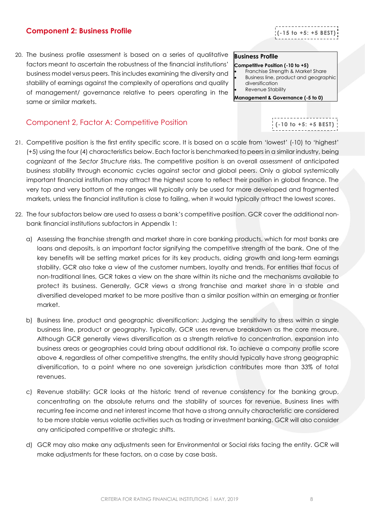## **Component 2: Business Profile**

20. The business profile assessment is based on a series of qualitative factors meant to ascertain the robustness of the financial institutions' business model versus peers. This includes examining the diversity and stability of earnings against the complexity of operations and quality of management/ governance relative to peers operating in the same or similar markets.

# <span id="page-7-0"></span>Component 2, Factor A: Competitive Position

- 21. Competitive position is the first entity specific score. It is based on a scale from 'lowest' (-10) to 'highest' (+5) using the four (4) characteristics below. Each factor is benchmarked to peers in a similar industry, being cognizant of the *Sector Structure* risks. The competitive position is an overall assessment of anticipated business stability through economic cycles against sector and global peers. Only a global systemically important financial institution may attract the highest score to reflect their position in global finance. The very top and very bottom of the ranges will typically only be used for more developed and fragmented markets, unless the financial institution is close to failing, when it would typically attract the lowest scores.
- 22. The four subfactors below are used to assess a bank's competitive position. GCR cover the additional nonbank financial institutions subfactors in Appendix 1:
	- a) Assessing the franchise strength and market share in core banking products, which for most banks are loans and deposits, is an important factor signifying the competitive strength of the bank. One of the key benefits will be setting market prices for its key products, aiding growth and long-term earnings stability. GCR also take a view of the customer numbers, loyalty and trends. For entities that focus of non-traditional lines, GCR takes a view on the share within its niche and the mechanisms available to protect its business. Generally, GCR views a strong franchise and market share in a stable and diversified developed market to be more positive than a similar position within an emerging or frontier market.
	- b) Business line, product and geographic diversification: Judging the sensitivity to stress within a single business line, product or geography. Typically, GCR uses revenue breakdown as the core measure. Although GCR generally views diversification as a strength relative to concentration, expansion into business areas or geographies could bring about additional risk. To achieve a company profile score above 4, regardless of other competitive strengths, the entity should typically have strong geographic diversification, to a point where no one sovereign jurisdiction contributes more than 33% of total revenues.
	- c) Revenue stability: GCR looks at the historic trend of revenue consistency for the banking group, concentrating on the absolute returns and the stability of sources for revenue. Business lines with recurring fee income and net interest income that have a strong annuity characteristic are considered to be more stable versus volatile activities such as trading or investment banking. GCR will also consider any anticipated competitive or strategic shifts.
	- d) GCR may also make any adjustments seen for Environmental or Social risks facing the entity. GCR will make adjustments for these factors, on a case by case basis.

## **Business Profile**

#### **Competitive Position (-10 to +5)**

- Franchise Strength & Market Share • Business line, product and geographic diversification
- Revenue Stability

**Management & Governance (-5 to 0)**



**(-15 to +5: +5 BEST )**

**(-10 to +5: +5 BEST )**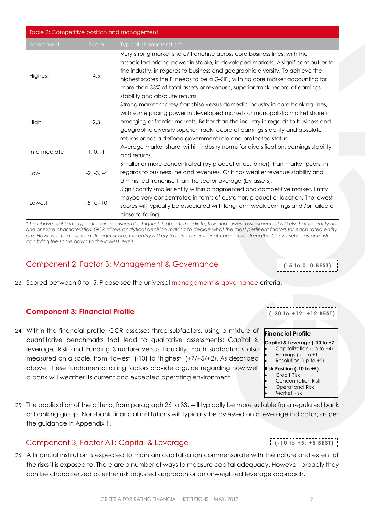| Table 2: Competitive position and management |               |                                                                                                                                                                                                                                                                                                                                                                                                                                                      |  |  |  |  |
|----------------------------------------------|---------------|------------------------------------------------------------------------------------------------------------------------------------------------------------------------------------------------------------------------------------------------------------------------------------------------------------------------------------------------------------------------------------------------------------------------------------------------------|--|--|--|--|
| Assessment                                   | Score         | Typical characteristics*                                                                                                                                                                                                                                                                                                                                                                                                                             |  |  |  |  |
| Highest                                      | 4,5           | Very strong market share/ franchise across core business lines, with the<br>associated pricing power in stable, in developed markets. A significant outlier to<br>the industry, in regards to business and geographic diversity. To achieve the<br>highest scores the FI needs to be a G-SIFI, with no core market accounting for<br>more than 33% of total assets or revenues, superior track-record of earnings<br>stability and absolute returns. |  |  |  |  |
| High                                         | 2.3           | Strong market shares/ franchise versus domestic industry in core banking lines,<br>with some pricing power in developed markets or monopolistic market share in<br>emerging or frontier markets. Better than the industry in regards to business and<br>geographic diversity superior track-record of earnings stability and absolute<br>returns or has a defined government role and protected status.                                              |  |  |  |  |
| Intermediate                                 | $1, 0, -1$    | Average market share, within industry norms for diversification, earnings stability<br>and returns.                                                                                                                                                                                                                                                                                                                                                  |  |  |  |  |
| Low                                          | $-2, -3, -4$  | Smaller or more concentrated (by product or customer) than market peers, in<br>regards to business line and revenues. Or it has weaker revenue stability and<br>diminished franchise than the sector average (by assets).                                                                                                                                                                                                                            |  |  |  |  |
| Lowest                                       | $-5$ to $-10$ | Significantly smaller entity within a fragmented and competitive market. Entity<br>maybe very concentrated in terms of customer, product or location. The lowest<br>scores will typically be associated with long term weak earnings and /or failed or<br>close to failing.                                                                                                                                                                          |  |  |  |  |

*\*the above highlights typical characteristics of a highest, high, intermediate, low and lowest assessments. It is likely that an entity has one or more characteristics. GCR allows analytical decision making to decide what the most pertinent factors for each rated entity are. However, to achieve a stronger score, the entity is likely to have a number of cumulative strengths. Conversely, any one risk can bring the score down to the lowest levels.* 

## <span id="page-8-0"></span>Component 2, Factor B: Management & Governance

23. Scored between 0 to -5. Please see the universal [management & governance](http://gcrratings.com/criteria) criteria.

## <span id="page-8-1"></span>**Component 3: Financial Profile**

24. Within the financial profile, GCR assesses three subfactors, using a mixture of quantitative benchmarks that lead to qualitative assessments: Capital & leverage, Risk and Funding Structure versus Liquidity. Each subfactor is also measured on a scale, from 'lowest' (-10) to 'highest' (+7/+5/+2). As described above, these fundamental rating factors provide a guide regarding how well a bank will weather its current and expected operating environment.

25. The application of the criteria, from paragraph 26 to 33, will typically be more suitable for a regulated bank or banking group. Non-bank financial institutions will typically be assessed on a leverage indicator, as per the guidance in Appendix 1.

## <span id="page-8-2"></span>Component 3, Factor A1: Capital & Leverage

26. A financial institution is expected to maintain capitalisation commensurate with the nature and extent of the risks it is exposed to. There are a number of ways to measure capital adequacy. However, broadly they can be characterized as either risk adjusted approach or an unweighted leverage approach.

|  |  |  | -----------------------    |  |  |  |  |  |  |
|--|--|--|----------------------------|--|--|--|--|--|--|
|  |  |  |                            |  |  |  |  |  |  |
|  |  |  | $( -30 to +12: +12 BEST )$ |  |  |  |  |  |  |
|  |  |  |                            |  |  |  |  |  |  |
|  |  |  |                            |  |  |  |  |  |  |

**(-5 to 0: 0 BEST)**

#### **Financial Profile**

- **Capital & Leverage (-10 to +7**
- Capitalization (up to +4)
- Earnings (up to  $+1$ )
- Resolution (up to  $+2$ )
- **Risk Position (-10 to +5) Credit Risk**
- Concentration Risk
- Operational Risk
- Market Risk

**(-10 to +5: +5 BEST )**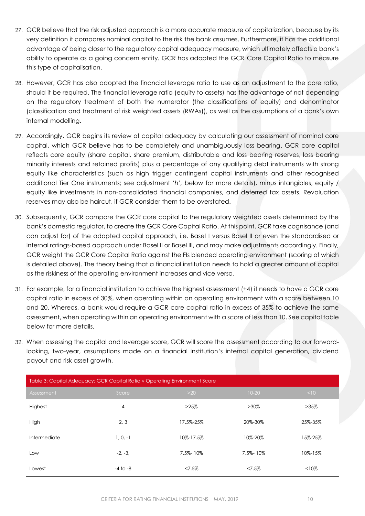- 27. GCR believe that the risk adjusted approach is a more accurate measure of capitalization, because by its very definition it compares nominal capital to the risk the bank assumes. Furthermore, it has the additional advantage of being closer to the regulatory capital adequacy measure, which ultimately affects a bank's ability to operate as a going concern entity. GCR has adopted the GCR Core Capital Ratio to measure this type of capitalisation.
- 28. However, GCR has also adopted the financial leverage ratio to use as an adjustment to the core ratio, should it be required. The financial leverage ratio (equity to assets) has the advantage of not depending on the regulatory treatment of both the numerator (the classifications of equity) and denominator (classification and treatment of risk weighted assets (RWAs)), as well as the assumptions of a bank's own internal modelling.
- 29. Accordingly, GCR begins its review of capital adequacy by calculating our assessment of nominal core capital, which GCR believe has to be completely and unambiguously loss bearing. GCR core capital reflects core equity (share capital, share premium, distributable and loss bearing reserves, loss bearing minority interests and retained profits) plus a percentage of any qualifying debt instruments with strong equity like characteristics (such as high trigger contingent capital instruments and other recognised additional Tier One instruments; see adjustment '*h',* below for more details), minus intangibles, equity / equity like investments in non-consolidated financial companies, and deferred tax assets. Revaluation reserves may also be haircut, if GCR consider them to be overstated.
- 30. Subsequently, GCR compare the GCR core capital to the regulatory weighted assets determined by the bank's domestic regulator, to create the GCR Core Capital Ratio. At this point, GCR take cognisance (and can adjust for) of the adopted capital approach, i.e. Basel I versus Basel II or even the standardised or internal ratings-based approach under Basel II or Basel III, and may make adjustments accordingly. Finally, GCR weight the GCR Core Capital Ratio against the FIs blended operating environment (scoring of which is detailed above). The theory being that a financial institution needs to hold a greater amount of capital as the riskiness of the operating environment increases and vice versa.
- 31. For example, for a financial institution to achieve the highest assessment (+4) it needs to have a GCR core capital ratio in excess of 30%, when operating within an operating environment with a score between 10 and 20. Whereas, a bank would require a GCR core capital ratio in excess of 35% to achieve the same assessment, when operating within an operating environment with a score of less than 10. See capital table below for more details.
- 32. When assessing the capital and leverage score, GCR will score the assessment according to our forwardlooking, two-year, assumptions made on a financial institution's internal capital generation, dividend payout and risk asset growth.

| Table 3: Capital Adequacy: GCR Capital Ratio v Operating Environment Score |              |           |           |          |  |  |  |
|----------------------------------------------------------------------------|--------------|-----------|-----------|----------|--|--|--|
| Assessment                                                                 | Score        | $>20$     | $10-20$   | <10      |  |  |  |
| Highest                                                                    | 4            | $>25\%$   | $>30\%$   | $>35\%$  |  |  |  |
| High                                                                       | 2, 3         | 17.5%-25% | 20%-30%   | 25%-35%  |  |  |  |
| Intermediate                                                               | $1, 0, -1$   | 10%-17.5% | 10%-20%   | 15%-25%  |  |  |  |
| Low                                                                        | $-2, -3,$    | 7.5%-10%  | 7.5%-10%  | 10%-15%  |  |  |  |
| Lowest                                                                     | $-4$ to $-8$ | $< 7.5\%$ | $< 7.5\%$ | $< 10\%$ |  |  |  |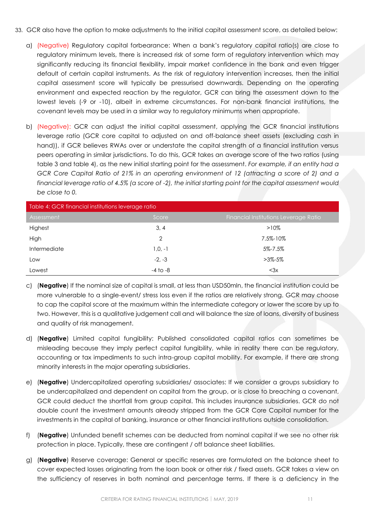- 33. GCR also have the option to make adjustments to the initial capital assessment score, as detailed below:
	- a) (Negative) Regulatory capital forbearance: When a bank's regulatory capital ratio(s) are close to regulatory minimum levels, there is increased risk of some form of regulatory intervention which may significantly reducing its financial flexibility, impair market confidence in the bank and even trigger default of certain capital instruments. As the risk of regulatory intervention increases, then the initial capital assessment score will typically be pressurised downwards. Depending on the operating environment and expected reaction by the regulator, GCR can bring the assessment down to the lowest levels (-9 or -10), albeit in extreme circumstances. For non-bank financial institutions, the covenant levels may be used in a similar way to regulatory minimums when appropriate.
	- b) (Negative): GCR can adjust the initial capital assessment, applying the GCR financial institutions leverage ratio (GCR core capital to adjusted on and off-balance sheet assets (excluding cash in hand)), if GCR believes RWAs over or understate the capital strength of a financial institution versus peers operating in similar jurisdictions. To do this, GCR takes an average score of the two ratios (using table 3 and table 4), as the new initial starting point for the assessment. *For example, if an entity had a GCR Core Capital Ratio of 21% in an operating environment of 12 (attracting a score of 2) and a financial leverage ratio of 4.5% (a score of -2), the initial starting point for the capital assessment would be close to 0.*

| Table 4: GCR financial institutions leverage ratio |              |                                       |  |  |  |
|----------------------------------------------------|--------------|---------------------------------------|--|--|--|
| Assessment                                         | Score        | Financial Institutions Leverage Ratio |  |  |  |
| Highest                                            | 3, 4         | $>10\%$                               |  |  |  |
| High                                               | 2            | 7.5%-10%                              |  |  |  |
| Intermediate                                       | $1,0,-1$     | 5%-7.5%                               |  |  |  |
| Low                                                | $-2, -3$     | $>3\% - 5\%$                          |  |  |  |
| Lowest                                             | $-4$ to $-8$ | $<$ 3 $\times$                        |  |  |  |

- c) (**Negative**) If the nominal size of capital is small, at less than USD50mln, the financial institution could be more vulnerable to a single-event/ stress loss even if the ratios are relatively strong. GCR may choose to cap the capital score at the maximum within the intermediate category or lower the score by up to two. However, this is a qualitative judgement call and will balance the size of loans, diversity of business and quality of risk management.
- d) (**Negative**) Limited capital fungibility: Published consolidated capital ratios can sometimes be misleading because they imply perfect capital fungibility, while in reality there can be regulatory, accounting or tax impediments to such intra-group capital mobility. For example, if there are strong minority interests in the major operating subsidiaries.
- e) (**Negative**) Undercapitalized operating subsidiaries/ associates: If we consider a groups subsidiary to be undercapitalized and dependent on capital from the group, or is close to breaching a covenant, GCR could deduct the shortfall from group capital. This includes insurance subsidiaries. GCR do not double count the investment amounts already stripped from the GCR Core Capital number for the investments in the capital of banking, insurance or other financial institutions outside consolidation.
- f) (**Negative**) Unfunded benefit schemes can be deducted from nominal capital if we see no other risk protection in place. Typically, these are contingent / off balance sheet liabilities.
- g) (**Negative**) Reserve coverage: General or specific reserves are formulated on the balance sheet to cover expected losses originating from the loan book or other risk / fixed assets. GCR takes a view on the sufficiency of reserves in both nominal and percentage terms. If there is a deficiency in the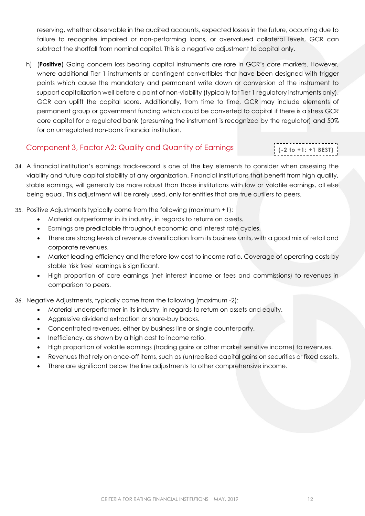reserving, whether observable in the audited accounts, expected losses in the future, occurring due to failure to recognise impaired or non-performing loans, or overvalued collateral levels, GCR can subtract the shortfall from nominal capital. This is a negative adjustment to capital only.

h) (**Positive**) Going concern loss bearing capital instruments are rare in GCR's core markets. However, where additional Tier 1 instruments or contingent convertibles that have been designed with trigger points which cause the mandatory and permanent write down or conversion of the instrument to support capitalization well before a point of non-viability (typically for Tier 1 regulatory instruments only), GCR can uplift the capital score. Additionally, from time to time, GCR may include elements of permanent group or government funding which could be converted to capital if there is a stress GCR core capital for a regulated bank (presuming the instrument is recognized by the regulator) and 50% for an unregulated non-bank financial institution.

## <span id="page-11-0"></span>Component 3, Factor A2: Quality and Quantity of Earnings

# **(-2 to +1: +1 BEST )**

- 34. A financial institution's earnings track-record is one of the key elements to consider when assessing the viability and future capital stability of any organization. Financial institutions that benefit from high quality, stable earnings, will generally be more robust than those institutions with low or volatile earnings, all else being equal. This adjustment will be rarely used, only for entities that are true outliers to peers.
- 35. Positive Adjustments typically come from the following (maximum +1):
	- Material outperformer in its industry, in regards to returns on assets.
	- Earnings are predictable throughout economic and interest rate cycles.
	- There are strong levels of revenue diversification from its business units, with a good mix of retail and corporate revenues.
	- Market leading efficiency and therefore low cost to income ratio. Coverage of operating costs by stable 'risk free' earnings is significant.
	- High proportion of core earnings (net interest income or fees and commissions) to revenues in comparison to peers.

36. Negative Adjustments, typically come from the following (maximum -2):

- Material underperformer in its industry, in regards to return on assets and equity.
- Aggressive dividend extraction or share-buy backs.
- Concentrated revenues, either by business line or single counterparty.
- Inefficiency, as shown by a high cost to income ratio.
- High proportion of volatile earnings (trading gains or other market sensitive income) to revenues.
- Revenues that rely on once-off items, such as (un)realised capital gains on securities or fixed assets.
- <span id="page-11-1"></span>There are significant below the line adjustments to other comprehensive income.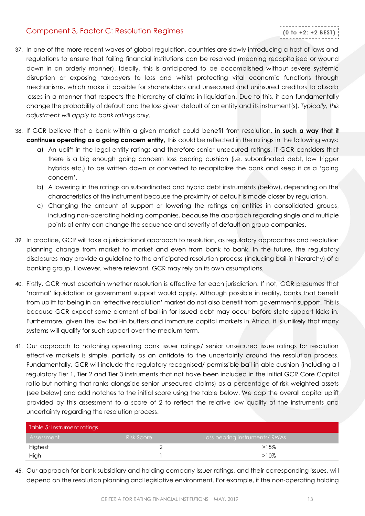## Component 3, Factor C: Resolution Regimes

- 37. In one of the more recent waves of global regulation, countries are slowly introducing a host of laws and regulations to ensure that failing financial institutions can be resolved (meaning recapitalised or wound down in an orderly manner). Ideally, this is anticipated to be accomplished without severe systemic disruption or exposing taxpayers to loss and whilst protecting vital economic functions through mechanisms, which make it possible for shareholders and unsecured and uninsured creditors to absorb losses in a manner that respects the hierarchy of claims in liquidation. Due to this, it can fundamentally change the probability of default and the loss given default of an entity and its instrument(s). *Typically, this adjustment will apply to bank ratings only.*
- 38. If GCR believe that a bank within a given market could benefit from resolution, **in such a way that it continues operating as a going concern entity,** this could be reflected in the ratings in the following ways:
	- a) An uplift in the legal entity ratings and therefore senior unsecured ratings, if GCR considers that there is a big enough going concern loss bearing cushion (i.e. subordinated debt, low trigger hybrids etc.) to be written down or converted to recapitalize the bank and keep it as a 'going concern'.
	- b) A lowering in the ratings on subordinated and hybrid debt instruments (below), depending on the characteristics of the instrument because the proximity of default is made closer by regulation.
	- c) Changing the amount of support or lowering the ratings on entities in consolidated groups, including non-operating holding companies, because the approach regarding single and multiple points of entry can change the sequence and severity of default on group companies.
- 39. In practice, GCR will take a jurisdictional approach to resolution, as regulatory approaches and resolution planning change from market to market and even from bank to bank. In the future, the regulatory disclosures may provide a guideline to the anticipated resolution process (including bail-in hierarchy) of a banking group. However, where relevant, GCR may rely on its own assumptions.
- 40. Firstly, GCR must ascertain whether resolution is effective for each jurisdiction. If not, GCR presumes that 'normal' liquidation or government support would apply. Although possible in reality, banks that benefit from uplift for being in an 'effective resolution' market do not also benefit from government support. This is because GCR expect some element of bail-in for issued debt may occur before state support kicks in. Furthermore, given the low bail-in buffers and immature capital markets in Africa, it is unlikely that many systems will qualify for such support over the medium term.
- 41. Our approach to notching operating bank issuer ratings/ senior unsecured issue ratings for resolution effective markets is simple, partially as an antidote to the uncertainty around the resolution process. Fundamentally, GCR will include the regulatory recognised/ permissible bail-in-able cushion (including all regulatory Tier 1, Tier 2 and Tier 3 instruments that not have been included in the initial GCR Core Capital ratio but nothing that ranks alongside senior unsecured claims) as a percentage of risk weighted assets (see below) and add notches to the initial score using the table below. We cap the overall capital uplift provided by this assessment to a score of 2 to reflect the relative low quality of the instruments and uncertainty regarding the resolution process.

| Table 5: Instrument ratings |            |                               |  |  |  |  |
|-----------------------------|------------|-------------------------------|--|--|--|--|
| Assessment                  | Risk Score | Loss bearing instruments/RWAs |  |  |  |  |
| Highest                     |            | $>15\%$                       |  |  |  |  |
| High                        |            | >10%                          |  |  |  |  |

45. Our approach for bank subsidiary and holding company issuer ratings, and their corresponding issues, will depend on the resolution planning and legislative environment. For example, if the non-operating holding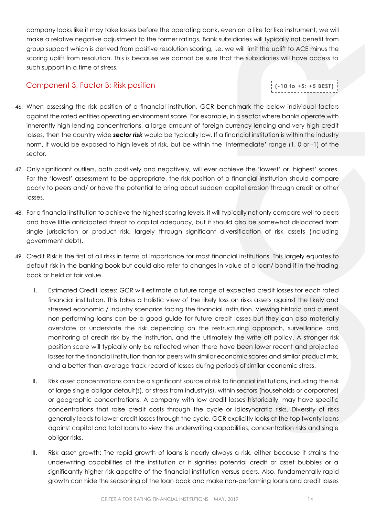company looks like it may take losses before the operating bank, even on a like for like instrument, we will make a relative negative adjustment to the former ratings. Bank subsidiaries will typically not benefit from group support which is derived from positive resolution scoring, i.e. we will limit the uplift to ACE minus the scoring uplift from resolution. This is because we cannot be sure that the subsidiaries will have access to such support in a time of stress.

## <span id="page-13-0"></span>Component 3, Factor B: Risk position

# **(-10 to +5: +5 BEST )**

- 46. When assessing the risk position of a financial institution, GCR benchmark the below individual factors against the rated entities operating environment score. For example, in a sector where banks operate with inherently high lending concentrations, a large amount of foreign currency lending and very high credit losses, then the country wide *sector risk* would be typically low. If a financial institution is within the industry norm, it would be exposed to high levels of risk, but be within the 'intermediate' range (1, 0 or -1) of the sector.
- 47. Only significant outliers, both positively and negatively, will ever achieve the 'lowest' or 'highest' scores. For the 'lowest' assessment to be appropriate, the risk position of a financial institution should compare poorly to peers and/ or have the potential to bring about sudden capital erosion through credit or other losses.
- 48. For a financial institution to achieve the highest scoring levels, it will typically not only compare well to peers and have little anticipated threat to capital adequacy, but it should also be somewhat dislocated from single jurisdiction or product risk, largely through significant diversification of risk assets (including government debt).
- 49. Credit Risk is the first of all risks in terms of importance for most financial institutions. This largely equates to default risk in the banking book but could also refer to changes in value of a loan/ bond if in the trading book or held at fair value.
	- I. Estimated Credit losses: GCR will estimate a future range of expected credit losses for each rated financial institution. This takes a holistic view of the likely loss on risks assets against the likely and stressed economic / industry scenarios facing the financial institution. Viewing historic and current non-performing loans can be a good guide for future credit losses but they can also materially overstate or understate the risk depending on the restructuring approach, surveillance and monitoring of credit risk by the institution, and the ultimately the write off policy. A stronger risk position score will typically only be reflected when there have been lower recent and projected losses for the financial institution than for peers with similar economic scores and similar product mix, and a better-than-average track-record of losses during periods of similar economic stress.
	- II. Risk asset concentrations can be a significant source of risk to financial institutions, including the risk of large single obligor default(s), or stress from industry(s), within sectors (households or corporates) or geographic concentrations. A company with low credit losses historically, may have specific concentrations that raise credit costs through the cycle or idiosyncratic risks. Diversity of risks generally leads to lower credit losses through the cycle. GCR explicitly looks at the top twenty loans against capital and total loans to view the underwriting capabilities, concentration risks and single obligor risks.
	- III. Risk asset growth: The rapid growth of loans is nearly always a risk, either because it strains the underwriting capabilities of the institution or it signifies potential credit or asset bubbles or a significantly higher risk appetite of the financial institution versus peers. Also, fundamentally rapid growth can hide the seasoning of the loan book and make non-performing loans and credit losses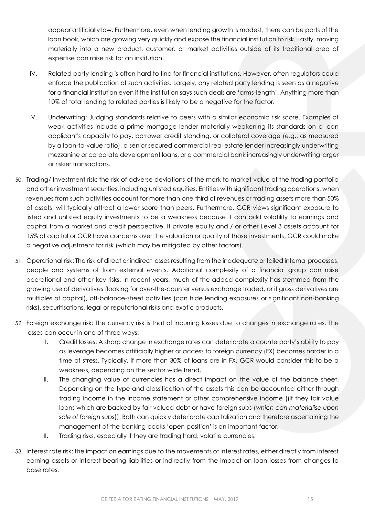appear artificially low. Furthermore, even when lending growth is modest, there can be parts of the loan book, which are growing very quickly and expose the financial institution to risk. Lastly, moving materially into a new product, customer, or market activities outside of its traditional area of expertise can raise risk for an institution.

- IV. Related party lending is often hard to find for financial institutions. However, often regulators could enforce the publication of such activities. Largely, any related party lending is seen as a negative for a financial institution even if the institution says such deals are 'arms-length'. Anything more than 10% of total lending to related parties is likely to be a negative for the factor.
- V. Underwriting: Judging standards relative to peers with a similar economic risk score. Examples of weak activities include a prime mortgage lender materially weakening its standards on a loan applicant's capacity to pay, borrower credit standing, or collateral coverage (e.g., as measured by a loan-to-value ratio), a senior secured commercial real estate lender increasingly underwriting mezzanine or corporate development loans, or a commercial bank increasingly underwriting larger or riskier transactions.
- 50. Trading/ Investment risk: the risk of adverse deviations of the mark to market value of the trading portfolio and other investment securities, including unlisted equities. Entities with significant trading operations, when revenues from such activities account for more than one third of revenues or trading assets more than 50% of assets, will typically attract a lower score than peers. Furthermore, GCR views significant exposure to listed and unlisted equity investments to be a weakness because it can add volatility to earnings and capital from a market and credit perspective. If private equity and / or other Level 3 assets account for 15% of capital or GCR have concerns over the valuation or quality of those investments, GCR could make a negative adjustment for risk (which may be mitigated by other factors).
- 51. Operational risk: The risk of direct or indirect losses resulting from the inadequate or failed internal processes, people and systems of from external events. Additional complexity of a financial group can raise operational and other key risks. In recent years, much of the added complexity has stemmed from the growing use of derivatives (looking for over-the-counter versus exchange traded, or if gross derivatives are multiples of capital), off-balance-sheet activities (can hide lending exposures or significant non-banking risks), securitisations, legal or reputational risks and exotic products.
- 52. Foreign exchange risk: The currency risk is that of incurring losses due to changes in exchange rates. The losses can occur in one of three ways:
	- I. Credit losses: A sharp change in exchange rates can deteriorate a counterparty's ability to pay as leverage becomes artificially higher or access to foreign currency (FX) becomes harder in a time of stress. Typically, if more than 30% of loans are in FX, GCR would consider this to be a weakness, depending on the sector wide trend.
	- II. The changing value of currencies has a direct impact on the value of the balance sheet. Depending on the type and classification of the assets this can be accounted either through trading income in the income statement or other comprehensive income ((if they fair value loans which are backed by fair valued debt or have foreign subs (*which can materialise upon sale of foreign subs*)). Both can quickly deteriorate capitalization and therefore ascertaining the management of the banking books 'open position' is an important factor.
	- III. Trading risks, especially if they are trading hard, volatile currencies.
- 53. Interest rate risk: the impact on earnings due to the movements of interest rates, either directly from interest earning assets or interest-bearing liabilities or indirectly from the impact on loan losses from changes to base rates.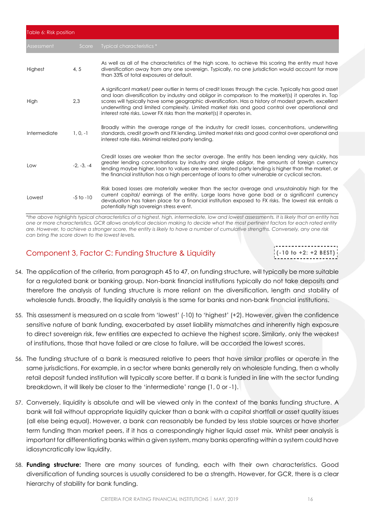| Table 6: Risk position |               |                                                                                                                                                                                                                                                                                                                                                                                                                                                                                                       |  |  |  |  |
|------------------------|---------------|-------------------------------------------------------------------------------------------------------------------------------------------------------------------------------------------------------------------------------------------------------------------------------------------------------------------------------------------------------------------------------------------------------------------------------------------------------------------------------------------------------|--|--|--|--|
| Assessment             | Score         | Typical characteristics *                                                                                                                                                                                                                                                                                                                                                                                                                                                                             |  |  |  |  |
| Highest                | 4, 5          | As well as all of the characteristics of the high score, to achieve this scoring the entity must have<br>diversification away from any one sovereign. Typically, no one jurisdiction would account for more<br>than 33% of total exposures at default.                                                                                                                                                                                                                                                |  |  |  |  |
| High                   | 2.3           | A significant market/ peer outlier in terms of credit losses through the cycle. Typically has good asset<br>and loan diversification by industry and obligor in comparison to the market(s) it operates in. Top<br>scores will typically have some geographic diversification. Has a history of modest growth, excellent<br>underwriting and limited complexity. Limited market risks and good control over operational and<br>interest rate risks. Lower FX risks than the market(s) it operates in. |  |  |  |  |
| Intermediate           | $1, 0, -1$    | Broadly within the average range of the industry for credit losses, concentrations, underwriting<br>standards, credit growth and FX lending. Limited market risks and good control over operational and<br>interest rate risks. Minimal related party lending.                                                                                                                                                                                                                                        |  |  |  |  |
| Low                    | $-2, -3, -4$  | Credit losses are weaker than the sector average. The entity has been lending very quickly, has<br>greater lending concentrations by industry and single obligor, the amounts of foreign currency<br>lending maybe higher, loan to values are weaker, related party lending is higher than the market, or<br>the financial institution has a high percentage of loans to other vulnerable or cyclical sectors.                                                                                        |  |  |  |  |
| Lowest                 | $-5$ to $-10$ | Risk based losses are materially weaker than the sector average and unsustainably high for the<br>current capital/ earnings of the entity. Large loans have gone bad or a significant currency<br>devaluation has taken place for a financial institution exposed to FX risks. The lowest risk entails a<br>potentially high sovereign stress event.                                                                                                                                                  |  |  |  |  |

*\*the above highlights typical characteristics of a highest, high, intermediate, low and lowest assessments. It is likely that an entity has one or more characteristics. GCR allows analytical decision making to decide what the most pertinent factors for each rated entity are. However, to achieve a stronger score, the entity is likely to have a number of cumulative strengths. Conversely, any one risk can bring the score down to the lowest levels.* 

## <span id="page-15-0"></span>Component 3, Factor C: Funding Structure & Liquidity

**(-10 to +2: +2 BEST )**

- 54. The application of the criteria, from paragraph 45 to 47, on funding structure, will typically be more suitable for a regulated bank or banking group. Non-bank financial institutions typically do not take deposits and therefore the analysis of funding structure is more reliant on the diversification, length and stability of wholesale funds. Broadly, the liquidity analysis is the same for banks and non-bank financial institutions.
- 55. This assessment is measured on a scale from 'lowest' (-10) to 'highest' (+2). However, given the confidence sensitive nature of bank funding, exacerbated by asset liability mismatches and inherently high exposure to direct sovereign risk, few entities are expected to achieve the highest score. Similarly, only the weakest of institutions, those that have failed or are close to failure, will be accorded the lowest scores.
- 56. The funding structure of a bank is measured relative to peers that have similar profiles or operate in the same jurisdictions. For example, in a sector where banks generally rely on wholesale funding, then a wholly retail deposit funded institution will typically score better. If a bank is funded in line with the sector funding breakdown, it will likely be closer to the 'intermediate' range (1, 0 or -1).
- 57. Conversely, liquidity is absolute and will be viewed only in the context of the banks funding structure. A bank will fail without appropriate liquidity quicker than a bank with a capital shortfall or asset quality issues (all else being equal). However, a bank can reasonably be funded by less stable sources or have shorter term funding than market peers, if it has a correspondingly higher liquid asset mix. Whilst peer analysis is important for differentiating banks within a given system, many banks operating within a system could have idiosyncratically low liquidity.
- 58. **Funding structure:** There are many sources of funding, each with their own characteristics. Good diversification of funding sources is usually considered to be a strength. However, for GCR, there is a clear hierarchy of stability for bank funding.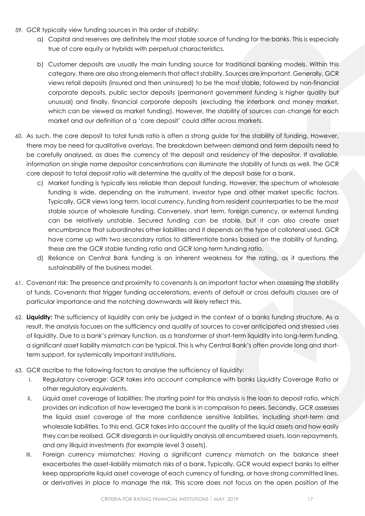- 59. GCR typically view funding sources in this order of stability:
	- a) Capital and reserves are definitely the most stable source of funding for the banks. This is especially true of core equity or hybrids with perpetual characteristics.
	- b) Customer deposits are usually the main funding source for traditional banking models. Within this category, there are also strong elements that affect stability. Sources are important. Generally, GCR views retail deposits (insured and then uninsured) to be the most stable, followed by non-financial corporate deposits, public sector deposits (permanent government funding is higher quality but unusual) and finally, financial corporate deposits (excluding the interbank and money market, which can be viewed as market funding). However, the stability of sources can change for each market and our definition of a 'core deposit' could differ across markets.
- 60. As such, the core deposit to total funds ratio is often a strong guide for the stability of funding. However, there may be need for qualitative overlays. The breakdown between demand and term deposits need to be carefully analysed, as does the currency of the deposit and residency of the depositor. If available, information on single name depositor concentrations can illuminate the stability of funds as well. The GCR core deposit to total deposit ratio will determine the quality of the deposit base for a bank.
	- c) Market funding is typically less reliable than deposit funding. However, the spectrum of wholesale funding is wide, depending on the instrument, investor type and other market specific factors. Typically, GCR views long term, local currency, funding from resident counterparties to be the most stable source of wholesale funding. Conversely, short term, foreign currency, or external funding can be relatively unstable. Secured funding can be stable, but it can also create asset encumbrance that subordinates other liabilities and it depends on the type of collateral used. GCR have come up with two secondary ratios to differentiate banks based on the stability of funding, these are the GCR stable funding ratio and GCR long-term funding ratio.
	- d) Reliance on Central Bank funding is an inherent weakness for the rating, as it questions the sustainability of the business model.
- 61. Covenant risk: The presence and proximity to covenants is an important factor when assessing the stability of funds. Covenants that trigger funding accelerations, events of default or cross defaults clauses are of particular importance and the notching downwards will likely reflect this.
- 62. **Liquidity:** The sufficiency of liquidity can only be judged in the context of a banks funding structure. As a result, the analysis focuses on the sufficiency and quality of sources to cover anticipated and stressed uses of liquidity. Due to a bank's primary function, as a transformer of short-term liquidity into long-term funding, a significant asset liability mismatch can be typical. This is why Central Bank's often provide long and shortterm support, for systemically important institutions.
- 63. GCR ascribe to the following factors to analyse the sufficiency of liquidity:
	- I. Regulatory coverage: GCR takes into account compliance with banks Liquidity Coverage Ratio or other regulatory equivalents.
	- II. Liquid asset coverage of liabilities: The starting point for this analysis is the loan to deposit ratio, which provides an indication of how leveraged the bank is in comparison to peers. Secondly, GCR assesses the liquid asset coverage of the more confidence sensitive liabilities, including short-term and wholesale liabilities. To this end, GCR takes into account the quality of the liquid assets and how easily they can be realised. GCR disregards in our liquidity analysis all encumbered assets, loan repayments, and any illiquid investments (for example level 3 assets).
	- III. Foreign currency mismatches: Having a significant currency mismatch on the balance sheet exacerbates the asset-liability mismatch risks of a bank. Typically, GCR would expect banks to either keep appropriate liquid asset coverage of each currency of funding, or have strong committed lines, or derivatives in place to manage the risk. This score does not focus on the open position of the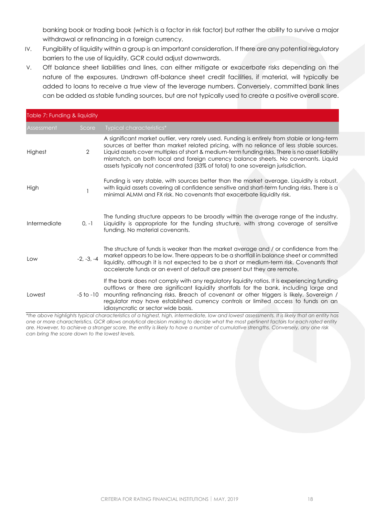banking book or trading book (which is a factor in risk factor) but rather the ability to survive a major withdrawal or refinancing in a foreign currency.

- IV. Fungibility of liquidity within a group is an important consideration. If there are any potential regulatory barriers to the use of liquidity, GCR could adjust downwards.
- V. Off balance sheet liabilities and lines, can either mitigate or exacerbate risks depending on the nature of the exposures. Undrawn off-balance sheet credit facilities, if material, will typically be added to loans to receive a true view of the leverage numbers. Conversely, committed bank lines can be added as stable funding sources, but are not typically used to create a positive overall score.

| Table 7: Funding & liquidity |                |                                                                                                                                                                                                                                                                                                                                                                                                                                                                    |
|------------------------------|----------------|--------------------------------------------------------------------------------------------------------------------------------------------------------------------------------------------------------------------------------------------------------------------------------------------------------------------------------------------------------------------------------------------------------------------------------------------------------------------|
| Assessment                   | Score          | Typical characteristics*                                                                                                                                                                                                                                                                                                                                                                                                                                           |
| Highest                      | $\overline{2}$ | A significant market outlier, very rarely used. Funding is entirely from stable or long-term<br>sources at better than market related pricing, with no reliance of less stable sources.<br>Liquid assets cover multiples of short & medium-term funding risks. There is no asset liability<br>mismatch, on both local and foreign currency balance sheets. No covenants. Liquid<br>assets typically not concentrated (33% of total) to one sovereign jurisdiction. |
| High                         |                | Funding is very stable, with sources better than the market average. Liquidity is robust,<br>with liquid assets covering all confidence sensitive and short-term funding risks. There is a<br>minimal ALMM and FX risk. No covenants that exacerbate liquidity risk.                                                                                                                                                                                               |
| Intermediate                 | $0, -1$        | The funding structure appears to be broadly within the average range of the industry.<br>Liquidity is appropriate for the funding structure, with strong coverage of sensitive<br>funding. No material covenants.                                                                                                                                                                                                                                                  |
| Low                          | $-2, -3, -4$   | The structure of funds is weaker than the market average and / or confidence from the<br>market appears to be low. There appears to be a shortfall in balance sheet or committed<br>liquidity, although it is not expected to be a short or medium-term risk. Covenants that<br>accelerate funds or an event of default are present but they are remote.                                                                                                           |
| Lowest                       | $-5$ to $-10$  | If the bank does not comply with any regulatory liquidity ratios. It is experiencing funding<br>outflows or there are significant liquidity shortfalls for the bank, including large and<br>mounting refinancing risks. Breach of covenant or other triggers is likely. Sovereign /<br>regulator may have established currency controls or limited access to funds on an<br>idiosyncratic or sector wide basis.                                                    |

<span id="page-17-0"></span>*\*the above highlights typical characteristics of a highest, high, intermediate, low and lowest assessments. It is likely that an entity has one or more characteristics. GCR allows analytical decision making to decide what the most pertinent factors for each rated entity are. However, to achieve a stronger score, the entity is likely to have a number of cumulative strengths. Conversely, any one risk can bring the score down to the lowest levels.*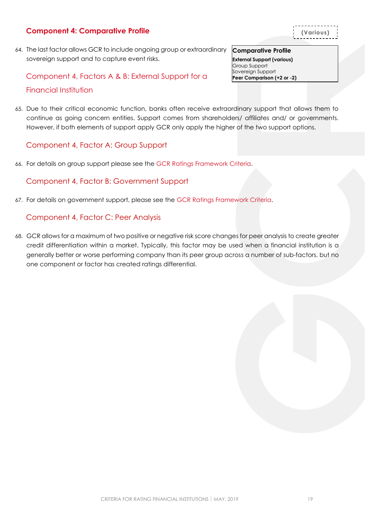## **Component 4: Comparative Profile**

64. The last factor allows GCR to include ongoing group or extraordinary sovereign support and to capture event risks.

# Component 4, Factors A & B: External Support for a Financial Institution

65. Due to their critical economic function, banks often receive extraordinary support that allows them to continue as going concern entities. Support comes from shareholders/ affiliates and/ or governments. However, if both elements of support apply GCR only apply the higher of the two support options.

## <span id="page-18-0"></span>Component 4, Factor A: Group Support

66. For details on group support please see the [GCR Ratings Framework Criteria.](http://gcrratings.com/criteria)

## <span id="page-18-1"></span>Component 4, Factor B: Government Support

67. For details on government support, please see the [GCR Ratings Framework Criteria.](http://gcrratings.com/criteria)

## <span id="page-18-2"></span>Component 4, Factor C: Peer Analysis

<span id="page-18-3"></span>68. GCR allows for a maximum of two positive or negative risk score changes for peer analysis to create greater credit differentiation within a market. Typically, this factor may be used when a financial institution is a generally better or worse performing company than its peer group across a number of sub-factors, but no one component or factor has created ratings differential.

**Comparative Profile External Support (various)** Group Support Sovereign Support **Peer Comparison (+2 or -2)**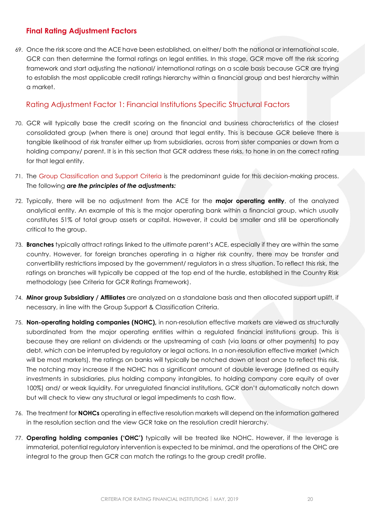## **Final Rating Adjustment Factors**

69. Once the risk score and the ACE have been established, on either/ both the national or international scale, GCR can then determine the formal ratings on legal entities. In this stage, GCR move off the risk scoring framework and start adjusting the national/ international ratings on a scale basis because GCR are trying to establish the most applicable credit ratings hierarchy within a financial group and best hierarchy within a market.

## <span id="page-19-0"></span>Rating Adjustment Factor 1: Financial Institutions Specific Structural Factors

- 70. GCR will typically base the credit scoring on the financial and business characteristics of the closest consolidated group (when there is one) around that legal entity. This is because GCR believe there is tangible likelihood of risk transfer either up from subsidiaries, across from sister companies or down from a holding company/ parent. It is in this section that GCR address these risks, to hone in on the correct rating for that legal entity.
- 71. The Group Classification and Support Criteria is the predominant guide for this decision-making process. The following *are the principles of the adjustments:*
- 72. Typically, there will be no adjustment from the ACE for the **major operating entity**, of the analyzed analytical entity. An example of this is the major operating bank within a financial group, which usually constitutes 51% of total group assets or capital. However, it could be smaller and still be operationally critical to the group.
- 73. **Branches** typically attract ratings linked to the ultimate parent's ACE, especially if they are within the same country. However, for foreign branches operating in a higher risk country, there may be transfer and convertibility restrictions imposed by the government/ regulators in a stress situation. To reflect this risk, the ratings on branches will typically be capped at the top end of the hurdle, established in the Country Risk methodology (see Criteria for GCR Ratings Framework).
- 74. **Minor group Subsidiary / Affiliates** are analyzed on a standalone basis and then allocated support uplift, if necessary, in line with the Group Support & Classification Criteria.
- 75. **Non-operating holding companies (NOHC),** in non-resolution effective markets are viewed as structurally subordinated from the major operating entities within a regulated financial institutions group. This is because they are reliant on dividends or the upstreaming of cash (via loans or other payments) to pay debt, which can be interrupted by regulatory or legal actions. In a non-resolution effective market (which will be most markets), the ratings on banks will typically be notched down at least once to reflect this risk. The notching may increase if the NOHC has a significant amount of double leverage (defined as equity investments in subsidiaries, plus holding company intangibles, to holding company core equity of over 100%) and/ or weak liquidity. For unregulated financial institutions, GCR don't automatically notch down but will check to view any structural or legal impediments to cash flow.
- 76. The treatment for **NOHCs** operating in effective resolution markets will depend on the information gathered in the resolution section and the view GCR take on the resolution credit hierarchy.
- 77. **Operating holding companies ('OHC')** typically will be treated like NOHC. However, if the leverage is immaterial, potential regulatory intervention is expected to be minimal, and the operations of the OHC are integral to the group then GCR can match the ratings to the group credit profile.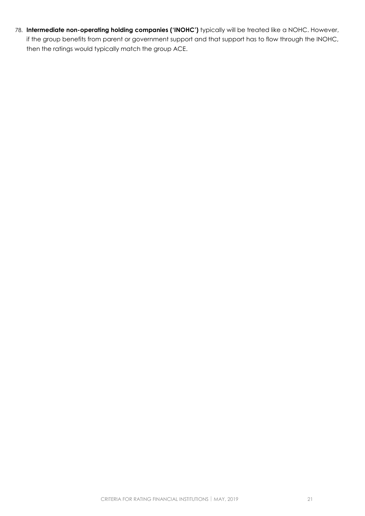<span id="page-20-0"></span>78. **Intermediate non-operating holding companies ('INOHC')** typically will be treated like a NOHC. However, if the group benefits from parent or government support and that support has to flow through the INOHC, then the ratings would typically match the group ACE.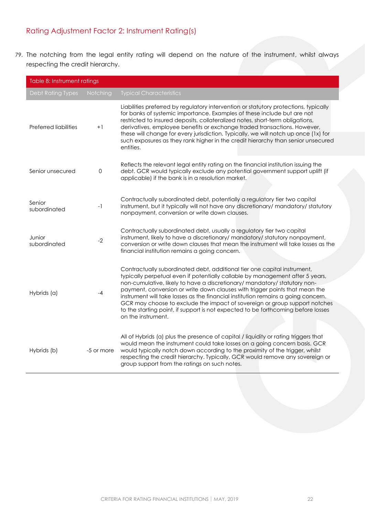# Rating Adjustment Factor 2: Instrument Rating(s)

79. The notching from the legal entity rating will depend on the nature of the instrument, whilst always respecting the credit hierarchy.

<span id="page-21-0"></span>

|                          | Table 8: Instrument ratings |                                                                                                                                                                                                                                                                                                                                                                                                                                                                                                                                                                                                     |  |  |  |  |  |
|--------------------------|-----------------------------|-----------------------------------------------------------------------------------------------------------------------------------------------------------------------------------------------------------------------------------------------------------------------------------------------------------------------------------------------------------------------------------------------------------------------------------------------------------------------------------------------------------------------------------------------------------------------------------------------------|--|--|--|--|--|
| <b>Debt Rating Types</b> | Notching                    | <b>Typical Characteristics</b>                                                                                                                                                                                                                                                                                                                                                                                                                                                                                                                                                                      |  |  |  |  |  |
| Preferred liabilities    | $+1$                        | Liabilities preferred by regulatory intervention or statutory protections, typically<br>for banks of systemic importance. Examples of these include but are not<br>restricted to insured deposits, collateralized notes, short-term obligations,<br>derivatives, employee benefits or exchange traded transactions. However,<br>these will change for every jurisdiction. Typically, we will notch up once (1x) for<br>such exposures as they rank higher in the credit hierarchy than senior unsecured<br>entities.                                                                                |  |  |  |  |  |
| Senior unsecured         | 0                           | Reflects the relevant legal entity rating on the financial institution issuing the<br>debt. GCR would typically exclude any potential government support uplift (if<br>applicable) if the bank is in a resolution market.                                                                                                                                                                                                                                                                                                                                                                           |  |  |  |  |  |
| Senior<br>subordinated   | $-1$                        | Contractually subordinated debt, potentially a regulatory tier two capital<br>instrument, but it typically will not have any discretionary/ mandatory/ statutory<br>nonpayment, conversion or write down clauses.                                                                                                                                                                                                                                                                                                                                                                                   |  |  |  |  |  |
| Junior<br>subordinated   | $-2$                        | Contractually subordinated debt, usually a regulatory tier two capital<br>instrument, likely to have a discretionary/ mandatory/ statutory nonpayment,<br>conversion or write down clauses that mean the instrument will take losses as the<br>financial institution remains a going concern.                                                                                                                                                                                                                                                                                                       |  |  |  |  |  |
| Hybrids (a)              | $-4$                        | Contractually subordinated debt, additional tier one capital instrument,<br>typically perpetual even if potentially callable by management after 5 years,<br>non-cumulative, likely to have a discretionary/ mandatory/ statutory non-<br>payment, conversion or write down clauses with trigger points that mean the<br>instrument will take losses as the financial institution remains a going concern.<br>GCR may choose to exclude the impact of sovereign or group support notches<br>to the starting point, if support is not expected to be forthcoming before losses<br>on the instrument. |  |  |  |  |  |
| Hybrids (b)              | -5 or more                  | All of Hybrids (a) plus the presence of capital / liquidity or rating triggers that<br>would mean the instrument could take losses on a going concern basis. GCR<br>would typically notch down according to the proximity of the trigger, whilst<br>respecting the credit hierarchy. Typically, GCR would remove any sovereign or<br>group support from the ratings on such notes.                                                                                                                                                                                                                  |  |  |  |  |  |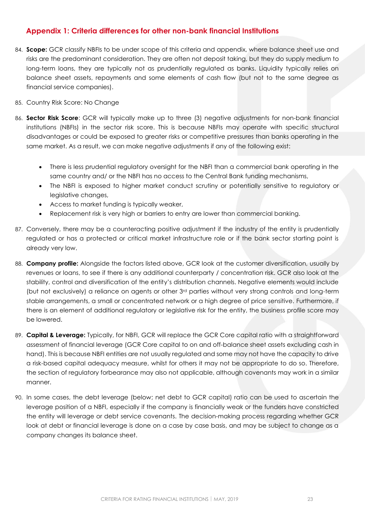## <span id="page-22-0"></span>**Appendix 1: Criteria differences for other non-bank financial Institutions**

- 84. **Scope:** GCR classify NBFIs to be under scope of this criteria and appendix, where balance sheet use and risks are the predominant consideration. They are often not deposit taking, but they do supply medium to long-term loans, they are typically not as prudentially regulated as banks. Liquidity typically relies on balance sheet assets, repayments and some elements of cash flow (but not to the same degree as financial service companies).
- 85. Country Risk Score: No Change
- 86. **Sector Risk Score**: GCR will typically make up to three (3) negative adjustments for non-bank financial institutions (NBFIs) in the sector risk score. This is because NBFIs may operate with specific structural disadvantages or could be exposed to greater risks or competitive pressures than banks operating in the same market. As a result, we can make negative adjustments if any of the following exist:
	- There is less prudential regulatory oversight for the NBFI than a commercial bank operating in the same country and/ or the NBFI has no access to the Central Bank funding mechanisms,
	- The NBFI is exposed to higher market conduct scrutiny or potentially sensitive to regulatory or legislative changes,
	- Access to market funding is typically weaker,
	- Replacement risk is very high or barriers to entry are lower than commercial banking.
- 87. Conversely, there may be a counteracting positive adjustment if the industry of the entity is prudentially regulated or has a protected or critical market infrastructure role or if the bank sector starting point is already very low.
- 88. **Company profile:** Alongside the factors listed above, GCR look at the customer diversification, usually by revenues or loans, to see if there is any additional counterparty / concentration risk. GCR also look at the stability, control and diversification of the entity's distribution channels. Negative elements would include (but not exclusively) a reliance on agents or other 3rd parties without very strong controls and long-term stable arrangements, a small or concentrated network or a high degree of price sensitive. Furthermore, if there is an element of additional regulatory or legislative risk for the entity, the business profile score may be lowered.
- 89. **Capital & Leverage:** Typically, for NBFI, GCR will replace the GCR Core capital ratio with a straightforward assessment of financial leverage (GCR Core capital to on and off-balance sheet assets excluding cash in hand). This is because NBFI entities are not usually regulated and some may not have the capacity to drive a risk-based capital adequacy measure, whilst for others it may not be appropriate to do so. Therefore, the section of regulatory forbearance may also not applicable, although covenants may work in a similar manner.
- 90. In some cases, the debt leverage (below; net debt to GCR capital) ratio can be used to ascertain the leverage position of a NBFI, especially if the company is financially weak or the funders have constricted the entity will leverage or debt service covenants. The decision-making process regarding whether GCR look at debt or financial leverage is done on a case by case basis, and may be subject to change as a company changes its balance sheet.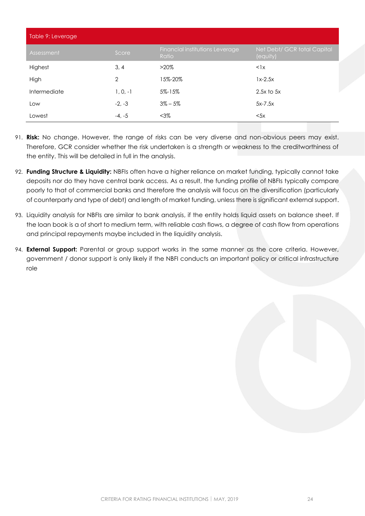| Table 9: Leverage |            |                                          |                                         |  |  |  |  |  |
|-------------------|------------|------------------------------------------|-----------------------------------------|--|--|--|--|--|
| Assessment        | Score      | Financial institutions Leverage<br>Ratio | Net Debt/ GCR total Capital<br>(equity) |  |  |  |  |  |
| Highest           | 3, 4       | $>20\%$                                  | $<$ $\frac{1}{x}$                       |  |  |  |  |  |
| High              | 2          | 15%-20%                                  | $1x-2.5x$                               |  |  |  |  |  |
| Intermediate      | $1, 0, -1$ | 5%-15%                                   | $2.5x$ to $5x$                          |  |  |  |  |  |
| Low               | $-2, -3$   | $3\% - 5\%$                              | $5x-7.5x$                               |  |  |  |  |  |
| Lowest            | $-4, -5$   | $<$ 3%                                   | < 5x                                    |  |  |  |  |  |

- 91. **Risk:** No change. However, the range of risks can be very diverse and non-obvious peers may exist. Therefore, GCR consider whether the risk undertaken is a strength or weakness to the creditworthiness of the entity. This will be detailed in full in the analysis.
- 92. **Funding Structure & Liquidity:** NBFIs often have a higher reliance on market funding, typically cannot take deposits nor do they have central bank access. As a result, the funding profile of NBFIs typically compare poorly to that of commercial banks and therefore the analysis will focus on the diversification (particularly of counterparty and type of debt) and length of market funding, unless there is significant external support.
- 93. Liquidity analysis for NBFIs are similar to bank analysis, if the entity holds liquid assets on balance sheet. If the loan book is a of short to medium term, with reliable cash flows, a degree of cash flow from operations and principal repayments maybe included in the liquidity analysis.
- 94. **External Support:** Parental or group support works in the same manner as the core criteria. However, government / donor support is only likely if the NBFI conducts an important policy or critical infrastructure role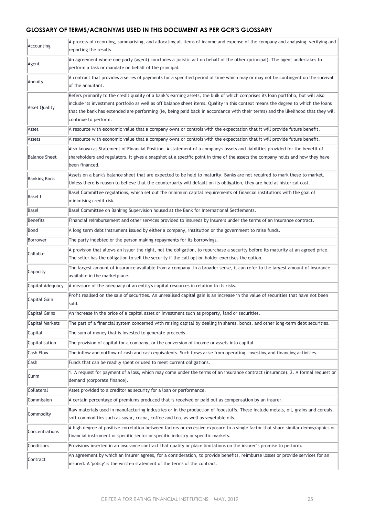#### **GLOSSARY OF TERMS/ACRONYMS USED IN THIS DOCUMENT AS PER GCR'S GLOSSARY**

| Accounting           | A process of recording, summarising, and allocating all items of income and expense of the company and analysing, verifying and<br>reporting the results.                                                                                                                                                                                                                                                                        |  |  |  |  |  |  |
|----------------------|----------------------------------------------------------------------------------------------------------------------------------------------------------------------------------------------------------------------------------------------------------------------------------------------------------------------------------------------------------------------------------------------------------------------------------|--|--|--|--|--|--|
|                      | An agreement where one party (agent) concludes a juristic act on behalf of the other (principal). The agent undertakes to                                                                                                                                                                                                                                                                                                        |  |  |  |  |  |  |
| Agent                | perform a task or mandate on behalf of the principal.                                                                                                                                                                                                                                                                                                                                                                            |  |  |  |  |  |  |
| Annuity              | A contract that provides a series of payments for a specified period of time which may or may not be contingent on the survival<br>of the annuitant.                                                                                                                                                                                                                                                                             |  |  |  |  |  |  |
| <b>Asset Quality</b> | Refers primarily to the credit quality of a bank's earning assets, the bulk of which comprises its loan portfolio, but will also<br>include its investment portfolio as well as off balance sheet items. Quality in this context means the degree to which the loans<br>that the bank has extended are performing (ie, being paid back in accordance with their terms) and the likelihood that they will<br>continue to perform. |  |  |  |  |  |  |
| Asset                | A resource with economic value that a company owns or controls with the expectation that it will provide future benefit.                                                                                                                                                                                                                                                                                                         |  |  |  |  |  |  |
| Assets               | A resource with economic value that a company owns or controls with the expectation that it will provide future benefit.                                                                                                                                                                                                                                                                                                         |  |  |  |  |  |  |
| <b>Balance Sheet</b> | Also known as Statement of Financial Position. A statement of a company's assets and liabilities provided for the benefit of<br>shareholders and regulators. It gives a snapshot at a specific point in time of the assets the company holds and how they have<br>been financed.                                                                                                                                                 |  |  |  |  |  |  |
| <b>Banking Book</b>  | Assets on a bank's balance sheet that are expected to be held to maturity. Banks are not required to mark these to market.<br>Unless there is reason to believe that the counterparty will default on its obligation, they are held at historical cost.                                                                                                                                                                          |  |  |  |  |  |  |
| <b>Basel I</b>       | Basel Committee regulations, which set out the minimum capital requirements of financial institutions with the goal of<br>minimising credit risk.                                                                                                                                                                                                                                                                                |  |  |  |  |  |  |
| Basel                | Basel Committee on Banking Supervision housed at the Bank for International Settlements.                                                                                                                                                                                                                                                                                                                                         |  |  |  |  |  |  |
| Benefits             | Financial reimbursement and other services provided to insureds by insurers under the terms of an insurance contract.                                                                                                                                                                                                                                                                                                            |  |  |  |  |  |  |
| Bond                 | A long term debt instrument issued by either a company, institution or the government to raise funds.                                                                                                                                                                                                                                                                                                                            |  |  |  |  |  |  |
| Borrower             | The party indebted or the person making repayments for its borrowings.                                                                                                                                                                                                                                                                                                                                                           |  |  |  |  |  |  |
| Callable             | A provision that allows an Issuer the right, not the obligation, to repurchase a security before its maturity at an agreed price.                                                                                                                                                                                                                                                                                                |  |  |  |  |  |  |
|                      | The seller has the obligation to sell the security if the call option holder exercises the option.                                                                                                                                                                                                                                                                                                                               |  |  |  |  |  |  |
| Capacity             | The largest amount of insurance available from a company. In a broader sense, it can refer to the largest amount of insurance<br>available in the marketplace.                                                                                                                                                                                                                                                                   |  |  |  |  |  |  |
| Capital Adequacy     | A measure of the adequacy of an entity's capital resources in relation to its risks.                                                                                                                                                                                                                                                                                                                                             |  |  |  |  |  |  |
| Capital Gain         | Profit realised on the sale of securities. An unrealised capital gain is an increase in the value of securities that have not been<br>sold.                                                                                                                                                                                                                                                                                      |  |  |  |  |  |  |
| Capital Gains        | An increase in the price of a capital asset or investment such as property, land or securities.                                                                                                                                                                                                                                                                                                                                  |  |  |  |  |  |  |
| Capital Markets      | The part of a financial system concerned with raising capital by dealing in shares, bonds, and other long-term debt securities.                                                                                                                                                                                                                                                                                                  |  |  |  |  |  |  |
| Capital              | The sum of money that is invested to generate proceeds.                                                                                                                                                                                                                                                                                                                                                                          |  |  |  |  |  |  |
| Capitalisation       | The provision of capital for a company, or the conversion of income or assets into capital.                                                                                                                                                                                                                                                                                                                                      |  |  |  |  |  |  |
| <b>Cash Flow</b>     | The inflow and outflow of cash and cash equivalents. Such flows arise from operating, investing and financing activities.                                                                                                                                                                                                                                                                                                        |  |  |  |  |  |  |
| Cash                 | Funds that can be readily spent or used to meet current obligations.                                                                                                                                                                                                                                                                                                                                                             |  |  |  |  |  |  |
| Claim                | 1. A request for payment of a loss, which may come under the terms of an insurance contract (insurance). 2. A formal request or<br>demand (corporate finance).                                                                                                                                                                                                                                                                   |  |  |  |  |  |  |
| Collateral           | Asset provided to a creditor as security for a loan or performance.                                                                                                                                                                                                                                                                                                                                                              |  |  |  |  |  |  |
| Commission           | A certain percentage of premiums produced that is received or paid out as compensation by an insurer.                                                                                                                                                                                                                                                                                                                            |  |  |  |  |  |  |
| Commodity            | Raw materials used in manufacturing industries or in the production of foodstuffs. These include metals, oil, grains and cereals,<br>soft commodities such as sugar, cocoa, coffee and tea, as well as vegetable oils.                                                                                                                                                                                                           |  |  |  |  |  |  |
| Concentrations       | A high degree of positive correlation between factors or excessive exposure to a single factor that share similar demographics or<br>financial instrument or specific sector or specific industry or specific markets.                                                                                                                                                                                                           |  |  |  |  |  |  |
| Conditions           | Provisions inserted in an insurance contract that qualify or place limitations on the insurer's promise to perform.                                                                                                                                                                                                                                                                                                              |  |  |  |  |  |  |
| Contract             | An agreement by which an insurer agrees, for a consideration, to provide benefits, reimburse losses or provide services for an<br>insured. A 'policy' is the written statement of the terms of the contract.                                                                                                                                                                                                                     |  |  |  |  |  |  |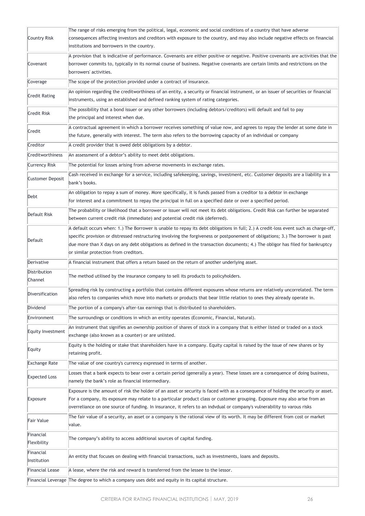| Country Risk             | The range of risks emerging from the political, legal, economic and social conditions of a country that have adverse<br>consequences affecting investors and creditors with exposure to the country, and may also include negative effects on financial<br>institutions and borrowers in the country.                                                                                                                                                |
|--------------------------|------------------------------------------------------------------------------------------------------------------------------------------------------------------------------------------------------------------------------------------------------------------------------------------------------------------------------------------------------------------------------------------------------------------------------------------------------|
| Covenant                 | A provision that is indicative of performance. Covenants are either positive or negative. Positive covenants are activities that the<br>borrower commits to, typically in its normal course of business. Negative covenants are certain limits and restrictions on the<br>borrowers' activities.                                                                                                                                                     |
| Coverage                 | The scope of the protection provided under a contract of insurance.                                                                                                                                                                                                                                                                                                                                                                                  |
| <b>Credit Rating</b>     | An opinion regarding the creditworthiness of an entity, a security or financial instrument, or an issuer of securities or financial<br>instruments, using an established and defined ranking system of rating categories.                                                                                                                                                                                                                            |
| <b>Credit Risk</b>       | The possibility that a bond issuer or any other borrowers (including debtors/creditors) will default and fail to pay<br>the principal and interest when due.                                                                                                                                                                                                                                                                                         |
| Credit                   | A contractual agreement in which a borrower receives something of value now, and agrees to repay the lender at some date in<br>the future, generally with interest. The term also refers to the borrowing capacity of an individual or company                                                                                                                                                                                                       |
| Creditor                 | A credit provider that is owed debt obligations by a debtor.                                                                                                                                                                                                                                                                                                                                                                                         |
| Creditworthiness         | An assessment of a debtor's ability to meet debt obligations.                                                                                                                                                                                                                                                                                                                                                                                        |
| <b>Currency Risk</b>     | The potential for losses arising from adverse movements in exchange rates.                                                                                                                                                                                                                                                                                                                                                                           |
| <b>Customer Deposit</b>  | Cash received in exchange for a service, including safekeeping, savings, investment, etc. Customer deposits are a liability in a<br>bank's books.                                                                                                                                                                                                                                                                                                    |
| Debt                     | An obligation to repay a sum of money. More specifically, it is funds passed from a creditor to a debtor in exchange<br>for interest and a commitment to repay the principal in full on a specified date or over a specified period.                                                                                                                                                                                                                 |
| Default Risk             | The probability or likelihood that a borrower or issuer will not meet its debt obligations. Credit Risk can further be separated<br>between current credit risk (immediate) and potential credit risk (deferred).                                                                                                                                                                                                                                    |
| Default                  | A default occurs when: 1.) The Borrower is unable to repay its debt obligations in full; 2.) A credit-loss event such as charge-off,<br>specific provision or distressed restructuring involving the forgiveness or postponement of obligations; 3.) The borrower is past<br>due more than X days on any debt obligations as defined in the transaction documents; 4.) The obligor has filed for bankruptcy<br>or similar protection from creditors. |
| Derivative               | A financial instrument that offers a return based on the return of another underlying asset.                                                                                                                                                                                                                                                                                                                                                         |
| Distribution<br>Channel  | The method utilised by the insurance company to sell its products to policyholders.                                                                                                                                                                                                                                                                                                                                                                  |
| Diversification          | Spreading risk by constructing a portfolio that contains different exposures whose returns are relatively uncorrelated. The term<br>also refers to companies which move into markets or products that bear little relation to ones they already operate in                                                                                                                                                                                           |
| Dividend                 | The portion of a company's after-tax earnings that is distributed to shareholders.                                                                                                                                                                                                                                                                                                                                                                   |
| Environment              | The surroundings or conditions in which an entity operates (Economic, Financial, Natural).                                                                                                                                                                                                                                                                                                                                                           |
| Equity Investment        | An instrument that signifies an ownership position of shares of stock in a company that is either listed or traded on a stock<br>exchange (also known as a counter) or are unlisted.                                                                                                                                                                                                                                                                 |
| Equity                   | Equity is the holding or stake that shareholders have in a company. Equity capital is raised by the issue of new shares or by<br>retaining profit.                                                                                                                                                                                                                                                                                                   |
| <b>Exchange Rate</b>     | The value of one country's currency expressed in terms of another.                                                                                                                                                                                                                                                                                                                                                                                   |
| <b>Expected Loss</b>     | Losses that a bank expects to bear over a certain period (generally a year). These losses are a consequence of doing business,<br>namely the bank's role as financial intermediary.                                                                                                                                                                                                                                                                  |
| Exposure                 | Exposure is the amount of risk the holder of an asset or security is faced with as a consequence of holding the security or asset.<br>For a company, its exposure may relate to a particular product class or customer grouping. Exposure may also arise from an<br>overreliance on one source of funding. In insurance, it refers to an indvdual or company's vulnerability to varous risks                                                         |
| Fair Value               | The fair value of a security, an asset or a company is the rational view of its worth. It may be different from cost or market<br>value.                                                                                                                                                                                                                                                                                                             |
| Financial<br>Flexibility | The company's ability to access additional sources of capital funding.                                                                                                                                                                                                                                                                                                                                                                               |
| Financial<br>Institution | An entity that focuses on dealing with financial transactions, such as investments, loans and deposits.                                                                                                                                                                                                                                                                                                                                              |
| <b>Financial Lease</b>   | A lease, where the risk and reward is transferred from the lessee to the lessor.                                                                                                                                                                                                                                                                                                                                                                     |
|                          | Financial Leverage The degree to which a company uses debt and equity in its capital structure.                                                                                                                                                                                                                                                                                                                                                      |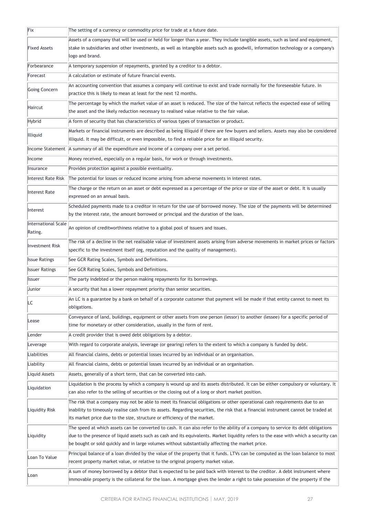| Fix                            | The setting of a currency or commodity price for trade at a future date.                                                                                                                                                                                          |
|--------------------------------|-------------------------------------------------------------------------------------------------------------------------------------------------------------------------------------------------------------------------------------------------------------------|
| <b>Fixed Assets</b>            | Assets of a company that will be used or held for longer than a year. They include tangible assets, such as land and equipment,                                                                                                                                   |
|                                | stake in subsidiaries and other investments, as well as intangible assets such as goodwill, information technology or a company's                                                                                                                                 |
|                                | logo and brand.                                                                                                                                                                                                                                                   |
| Forbearance                    | A temporary suspension of repayments, granted by a creditor to a debtor.                                                                                                                                                                                          |
| Forecast                       | A calculation or estimate of future financial events.                                                                                                                                                                                                             |
| Going Concern                  | An accounting convention that assumes a company will continue to exist and trade normally for the foreseeable future. In<br>practice this is likely to mean at least for the next 12 months.                                                                      |
| Haircut                        | The percentage by which the market value of an asset is reduced. The size of the haircut reflects the expected ease of selling<br>the asset and the likely reduction necessary to realised value relative to the fair value.                                      |
| Hybrid                         | A form of security that has characteristics of various types of transaction or product.                                                                                                                                                                           |
| Illiquid                       | Markets or financial instruments are described as being illiquid if there are few buyers and sellers. Assets may also be considered                                                                                                                               |
|                                | illiquid. It may be difficult, or even impossible, to find a reliable price for an illiquid security.                                                                                                                                                             |
|                                | Income Statement   A summary of all the expenditure and income of a company over a set period.                                                                                                                                                                    |
| Income                         | Money received, especially on a regular basis, for work or through investments.                                                                                                                                                                                   |
| Insurance                      | Provides protection against a possible eventuality.                                                                                                                                                                                                               |
| Interest Rate Risk             | The potential for losses or reduced income arising from adverse movements in interest rates.                                                                                                                                                                      |
| Interest Rate                  | The charge or the return on an asset or debt expressed as a percentage of the price or size of the asset or debt. It is usually<br>expressed on an annual basis.                                                                                                  |
|                                | Scheduled payments made to a creditor in return for the use of borrowed money. The size of the payments will be determined                                                                                                                                        |
| Interest                       | by the interest rate, the amount borrowed or principal and the duration of the loan.                                                                                                                                                                              |
| International Scale<br>Rating. | An opinion of creditworthiness relative to a global pool of issuers and issues.                                                                                                                                                                                   |
| <b>Investment Risk</b>         | The risk of a decline in the net realisable value of investment assets arising from adverse movements in market prices or factors                                                                                                                                 |
|                                | specific to the investment itself (eg, reputation and the quality of management).                                                                                                                                                                                 |
| <b>Issue Ratings</b>           | See GCR Rating Scales, Symbols and Definitions.                                                                                                                                                                                                                   |
| <b>Issuer Ratings</b>          | See GCR Rating Scales, Symbols and Definitions.                                                                                                                                                                                                                   |
| <b>Issuer</b>                  | The party indebted or the person making repayments for its borrowings.                                                                                                                                                                                            |
| Junior                         | A security that has a lower repayment priority than senior securities.                                                                                                                                                                                            |
| LC                             | An LC is a guarantee by a bank on behalf of a corporate customer that payment will be made if that entity cannot to meet its<br>obligations.                                                                                                                      |
| Lease                          | Conveyance of land, buildings, equipment or other assets from one person (lessor) to another (lessee) for a specific period of<br>time for monetary or other consideration, usually in the form of rent.                                                          |
| Lender                         | A credit provider that is owed debt obligations by a debtor.                                                                                                                                                                                                      |
| Leverage                       | With regard to corporate analysis, leverage (or gearing) refers to the extent to which a company is funded by debt.                                                                                                                                               |
| Liabilities                    | All financial claims, debts or potential losses incurred by an individual or an organisation.                                                                                                                                                                     |
| Liability                      | All financial claims, debts or potential losses incurred by an individual or an organisation.                                                                                                                                                                     |
| Liquid Assets                  | Assets, generally of a short term, that can be converted into cash.                                                                                                                                                                                               |
| Liquidation                    | Liquidation is the process by which a company is wound up and its assets distributed. It can be either compulsory or voluntary. It                                                                                                                                |
|                                | can also refer to the selling of securities or the closing out of a long or short market position.                                                                                                                                                                |
| Liquidity Risk                 | The risk that a company may not be able to meet its financial obligations or other operational cash requirements due to an<br>inability to timeously realise cash from its assets. Regarding securities, the risk that a financial instrument cannot be traded at |
|                                | its market price due to the size, structure or efficiency of the market.                                                                                                                                                                                          |
|                                | The speed at which assets can be converted to cash. It can also refer to the ability of a company to service its debt obligations                                                                                                                                 |
| Liquidity                      | due to the presence of liquid assets such as cash and its equivalents. Market liquidity refers to the ease with which a security can                                                                                                                              |
|                                | be bought or sold quickly and in large volumes without substantially affecting the market price.                                                                                                                                                                  |
| Loan To Value                  | Principal balance of a loan divided by the value of the property that it funds. LTVs can be computed as the loan balance to most                                                                                                                                  |
|                                | recent property market value, or relative to the original property market value.                                                                                                                                                                                  |
|                                | A sum of money borrowed by a debtor that is expected to be paid back with interest to the creditor. A debt instrument where                                                                                                                                       |
| Loan                           | immovable property is the collateral for the loan. A mortgage gives the lender a right to take possession of the property if the                                                                                                                                  |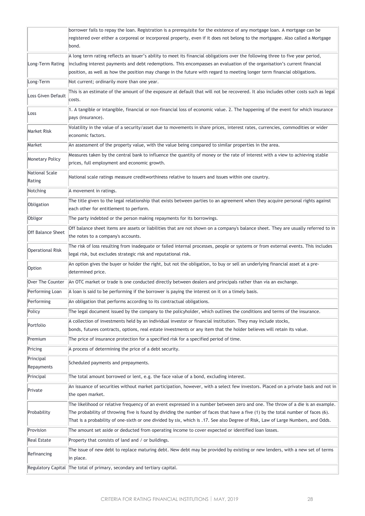|                          | borrower fails to repay the loan. Registration is a prerequisite for the existence of any mortgage loan. A mortgage can be                                                                                                                                                                                                                                                                             |
|--------------------------|--------------------------------------------------------------------------------------------------------------------------------------------------------------------------------------------------------------------------------------------------------------------------------------------------------------------------------------------------------------------------------------------------------|
|                          | registered over either a corporeal or incorporeal property, even if it does not belong to the mortgagee. Also called a Mortgage<br>bond.                                                                                                                                                                                                                                                               |
| Long-Term Rating         | A long term rating reflects an issuer's ability to meet its financial obligations over the following three to five year period,                                                                                                                                                                                                                                                                        |
|                          | including interest payments and debt redemptions. This encompasses an evaluation of the organisation's current financial<br>position, as well as how the position may change in the future with regard to meeting longer term financial obligations.                                                                                                                                                   |
| Long-Term                | Not current; ordinarily more than one year.                                                                                                                                                                                                                                                                                                                                                            |
| Loss Given Default       | This is an estimate of the amount of the exposure at default that will not be recovered. It also includes other costs such as legal<br>costs.                                                                                                                                                                                                                                                          |
| Loss                     | 1. A tangible or intangible, financial or non-financial loss of economic value. 2. The happening of the event for which insurance<br>pays (insurance).                                                                                                                                                                                                                                                 |
| Market Risk              | Volatility in the value of a security/asset due to movements in share prices, interest rates, currencies, commodities or wider<br>economic factors.                                                                                                                                                                                                                                                    |
| Market                   | An assessment of the property value, with the value being compared to similar properties in the area.                                                                                                                                                                                                                                                                                                  |
| <b>Monetary Policy</b>   | Measures taken by the central bank to influence the quantity of money or the rate of interest with a view to achieving stable<br>prices, full employment and economic growth.                                                                                                                                                                                                                          |
| National Scale<br>Rating | National scale ratings measure creditworthiness relative to issuers and issues within one country.                                                                                                                                                                                                                                                                                                     |
| Notching                 | A movement in ratings.                                                                                                                                                                                                                                                                                                                                                                                 |
| Obligation               | The title given to the legal relationship that exists between parties to an agreement when they acquire personal rights against<br>each other for entitlement to perform.                                                                                                                                                                                                                              |
| Obligor                  | The party indebted or the person making repayments for its borrowings.                                                                                                                                                                                                                                                                                                                                 |
| <b>Off Balance Sheet</b> | Off balance sheet items are assets or liabilities that are not shown on a company's balance sheet. They are usually referred to in<br>the notes to a company's accounts.                                                                                                                                                                                                                               |
| <b>Operational Risk</b>  | The risk of loss resulting from inadequate or failed internal processes, people or systems or from external events. This includes<br>legal risk, but excludes strategic risk and reputational risk.                                                                                                                                                                                                    |
| Option                   | An option gives the buyer or holder the right, but not the obligation, to buy or sell an underlying financial asset at a pre-<br>determined price.                                                                                                                                                                                                                                                     |
| Over The Counter         | An OTC market or trade is one conducted directly between dealers and principals rather than via an exchange.                                                                                                                                                                                                                                                                                           |
| Performing Loan          | A loan is said to be performing if the borrower is paying the interest on it on a timely basis.                                                                                                                                                                                                                                                                                                        |
| Performing               | An obligation that performs according to its contractual obligations.                                                                                                                                                                                                                                                                                                                                  |
| Policy                   | The legal document issued by the company to the policyholder, which outlines the conditions and terms of the insurance.                                                                                                                                                                                                                                                                                |
| Portfolio                | A collection of investments held by an individual investor or financial institution. They may include stocks,                                                                                                                                                                                                                                                                                          |
|                          | bonds, futures contracts, options, real estate investments or any item that the holder believes will retain its value.                                                                                                                                                                                                                                                                                 |
| Premium                  | The price of insurance protection for a specified risk for a specified period of time.                                                                                                                                                                                                                                                                                                                 |
| Pricing                  | A process of determining the price of a debt security.                                                                                                                                                                                                                                                                                                                                                 |
| Principal<br>Repayments  | Scheduled payments and prepayments.                                                                                                                                                                                                                                                                                                                                                                    |
| Principal                | The total amount borrowed or lent, e.g. the face value of a bond, excluding interest.                                                                                                                                                                                                                                                                                                                  |
| Private                  | An issuance of securities without market participation, however, with a select few investors. Placed on a private basis and not in<br>the open market.                                                                                                                                                                                                                                                 |
| Probability              | The likelihood or relative frequency of an event expressed in a number between zero and one. The throw of a die is an example.<br>The probability of throwing five is found by dividing the number of faces that have a five (1) by the total number of faces (6).<br>That is a probability of one-sixth or one divided by six, which is .17. See also Degree of Risk, Law of Large Numbers, and Odds. |
| Provision                | The amount set aside or deducted from operating income to cover expected or identified loan losses.                                                                                                                                                                                                                                                                                                    |
| <b>Real Estate</b>       | Property that consists of land and / or buildings.                                                                                                                                                                                                                                                                                                                                                     |
| Refinancing              | The issue of new debt to replace maturing debt. New debt may be provided by existing or new lenders, with a new set of terms<br>in place.                                                                                                                                                                                                                                                              |
|                          | Regulatory Capital The total of primary, secondary and tertiary capital.                                                                                                                                                                                                                                                                                                                               |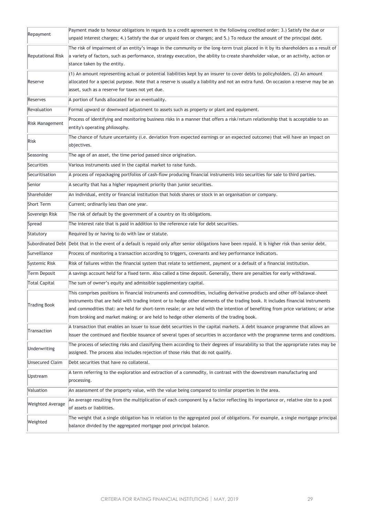| Repayment                | Payment made to honour obligations in regards to a credit agreement in the following credited order: 3.) Satisfy the due or                                                                               |
|--------------------------|-----------------------------------------------------------------------------------------------------------------------------------------------------------------------------------------------------------|
|                          | unpaid interest charges; 4.) Satisfy the due or unpaid fees or charges; and 5.) To reduce the amount of the principal debt.                                                                               |
| <b>Reputational Risk</b> | The risk of impairment of an entity's image in the community or the long-term trust placed in it by its shareholders as a result of                                                                       |
|                          | a variety of factors, such as performance, strategy execution, the ability to create shareholder value, or an activity, action or                                                                         |
|                          | stance taken by the entity.                                                                                                                                                                               |
|                          | $(1)$ An amount representing actual or potential liabilities kept by an insurer to cover debts to policyholders. $(2)$ An amount                                                                          |
| Reserve                  | allocated for a special purpose. Note that a reserve is usually a liability and not an extra fund. On occasion a reserve may be an                                                                        |
|                          | asset, such as a reserve for taxes not yet due.                                                                                                                                                           |
| Reserves                 | A portion of funds allocated for an eventuality.                                                                                                                                                          |
| Revaluation              | Formal upward or downward adjustment to assets such as property or plant and equipment.                                                                                                                   |
| Risk Management          | Process of identifying and monitoring business risks in a manner that offers a risk/return relationship that is acceptable to an                                                                          |
|                          | entity's operating philosophy.                                                                                                                                                                            |
| Risk                     | The chance of future uncertainty (i.e. deviation from expected earnings or an expected outcome) that will have an impact on                                                                               |
|                          | objectives.                                                                                                                                                                                               |
| Seasoning                | The age of an asset, the time period passed since origination.                                                                                                                                            |
| Securities               | Various instruments used in the capital market to raise funds.                                                                                                                                            |
| Securitisation           | A process of repackaging portfolios of cash-flow producing financial instruments into securities for sale to third parties.                                                                               |
| Senior                   | A security that has a higher repayment priority than junior securities.                                                                                                                                   |
| Shareholder              | An individual, entity or financial institution that holds shares or stock in an organisation or company.                                                                                                  |
| Short Term               | Current; ordinarily less than one year.                                                                                                                                                                   |
| Sovereign Risk           | The risk of default by the government of a country on its obligations.                                                                                                                                    |
| Spread                   | The interest rate that is paid in addition to the reference rate for debt securities.                                                                                                                     |
| Statutory                | Required by or having to do with law or statute.                                                                                                                                                          |
|                          | Subordinated Debt Debt that in the event of a default is repaid only after senior obligations have been repaid. It is higher risk than senior debt.                                                       |
| Surveillance             | Process of monitoring a transaction according to triggers, covenants and key performance indicators.                                                                                                      |
| Systemic Risk            | Risk of failures within the financial system that relate to settlement, payment or a default of a financial institution.                                                                                  |
| Term Deposit             | A savings account held for a fixed term. Also called a time deposit. Generally, there are penalties for early withdrawal.                                                                                 |
| <b>Total Capital</b>     | The sum of owner's equity and admissible supplementary capital.                                                                                                                                           |
|                          | This comprises positions in financial instruments and commodities, including derivative products and other off-balance-sheet                                                                              |
| <b>Trading Book</b>      | instruments that are held with trading intent or to hedge other elements of the trading book. It includes financial instruments                                                                           |
|                          | and commodities that: are held for short-term resale; or are held with the intention of benefiting from price variations; or arise                                                                        |
|                          | from broking and market making; or are held to hedge other elements of the trading book.                                                                                                                  |
| Transaction              | A transaction that enables an Issuer to issue debt securities in the capital markets. A debt issuance programme that allows an                                                                            |
|                          | Issuer the continued and flexible issuance of several types of securities in accordance with the programme terms and conditions.                                                                          |
| Underwriting             | The process of selecting risks and classifying them according to their degrees of insurability so that the appropriate rates may be                                                                       |
|                          | assigned. The process also includes rejection of those risks that do not qualify.                                                                                                                         |
| <b>Unsecured Claim</b>   | Debt securities that have no collateral.                                                                                                                                                                  |
| Upstream                 | A term referring to the exploration and extraction of a commodity, in contrast with the downstream manufacturing and<br>processing.                                                                       |
| Valuation                | An assessment of the property value, with the value being compared to similar properties in the area.                                                                                                     |
|                          | An average resulting from the multiplication of each component by a factor reflecting its importance or, relative size to a pool                                                                          |
| <b>Weighted Average</b>  | of assets or liabilities.                                                                                                                                                                                 |
| Weighted                 | The weight that a single obligation has in relation to the aggregated pool of obligations. For example, a single mortgage principal<br>balance divided by the aggregated mortgage pool principal balance. |
|                          |                                                                                                                                                                                                           |